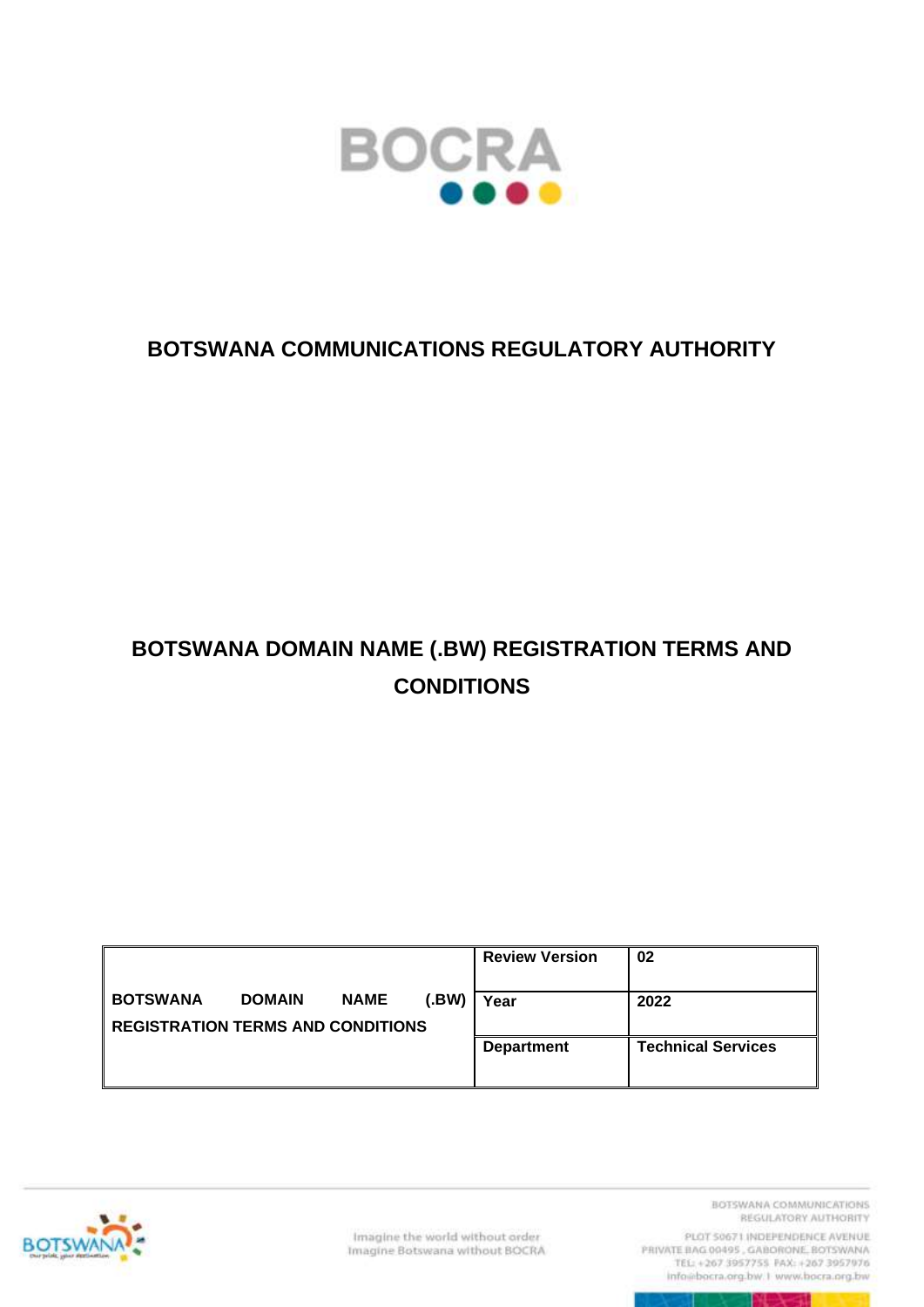

### **BOTSWANA COMMUNICATIONS REGULATORY AUTHORITY**

# **BOTSWANA DOMAIN NAME (.BW) REGISTRATION TERMS AND CONDITIONS**

|                                                             |               |             |       | <b>Review Version</b> | 02                        |
|-------------------------------------------------------------|---------------|-------------|-------|-----------------------|---------------------------|
| <b>BOTSWANA</b><br><b>REGISTRATION TERMS AND CONDITIONS</b> | <b>DOMAIN</b> | <b>NAME</b> | (.BW) | Year                  | 2022                      |
|                                                             |               |             |       | <b>Department</b>     | <b>Technical Services</b> |



Imagine the world without order Imagine Botswana without BOCRA BOTSWANA COMMUNICATIONS REGULATORY AUTHORITY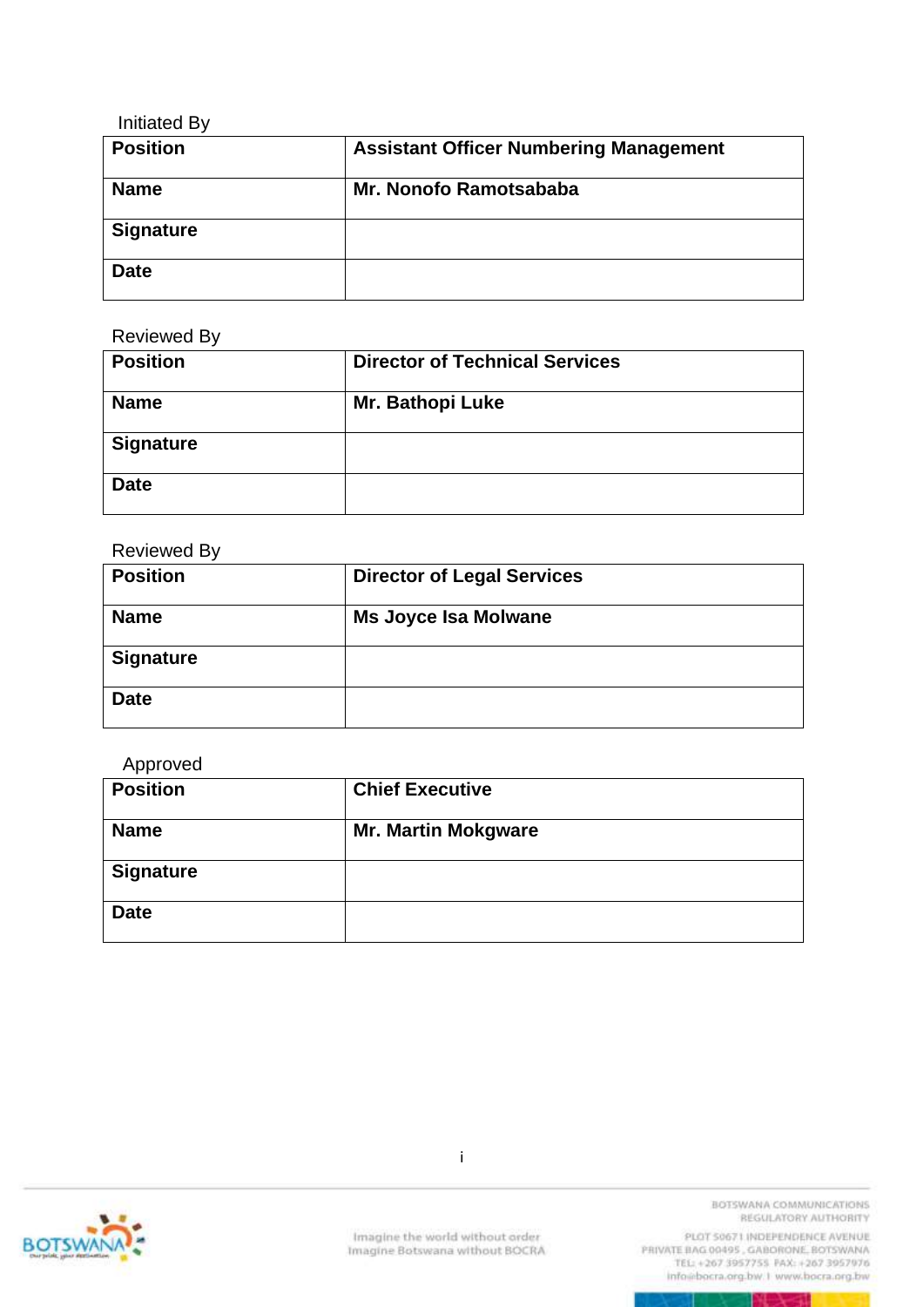| <b>Initiated By</b> |                                               |
|---------------------|-----------------------------------------------|
| <b>Position</b>     | <b>Assistant Officer Numbering Management</b> |
| <b>Name</b>         | Mr. Nonofo Ramotsababa                        |
| <b>Signature</b>    |                                               |
| <b>Date</b>         |                                               |

Reviewed By

| <b>Position</b>  | <b>Director of Technical Services</b> |
|------------------|---------------------------------------|
| <b>Name</b>      | Mr. Bathopi Luke                      |
| <b>Signature</b> |                                       |
| <b>Date</b>      |                                       |

#### Reviewed By

| <b>Position</b>  | <b>Director of Legal Services</b> |  |
|------------------|-----------------------------------|--|
| <b>Name</b>      | <b>Ms Joyce Isa Molwane</b>       |  |
| <b>Signature</b> |                                   |  |
| <b>Date</b>      |                                   |  |

#### Approved

| <b>Position</b>  | <b>Chief Executive</b>     |  |
|------------------|----------------------------|--|
| <b>Name</b>      | <b>Mr. Martin Mokgware</b> |  |
| <b>Signature</b> |                            |  |
| <b>Date</b>      |                            |  |



i

BOTSWANA COMMUNICATIONS REGULATORY AUTHORITY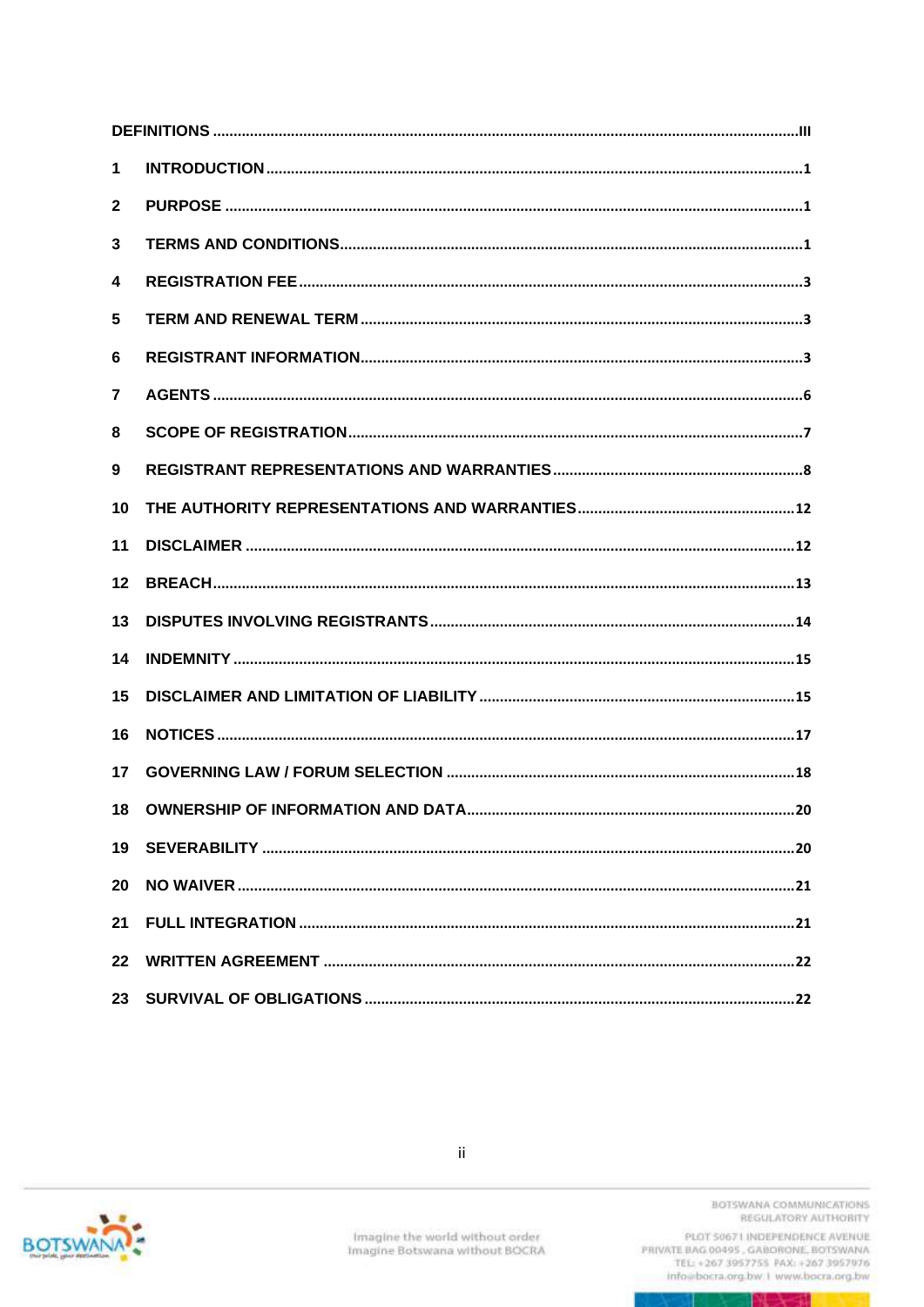| 1  |  |
|----|--|
| 2  |  |
| 3  |  |
| 4  |  |
| 5  |  |
| 6  |  |
| 7  |  |
| 8  |  |
| 9  |  |
| 10 |  |
| 11 |  |
| 12 |  |
| 13 |  |
| 14 |  |
| 15 |  |
| 16 |  |
| 17 |  |
| 18 |  |
| 19 |  |
| 20 |  |
| 21 |  |
| 22 |  |
| 23 |  |

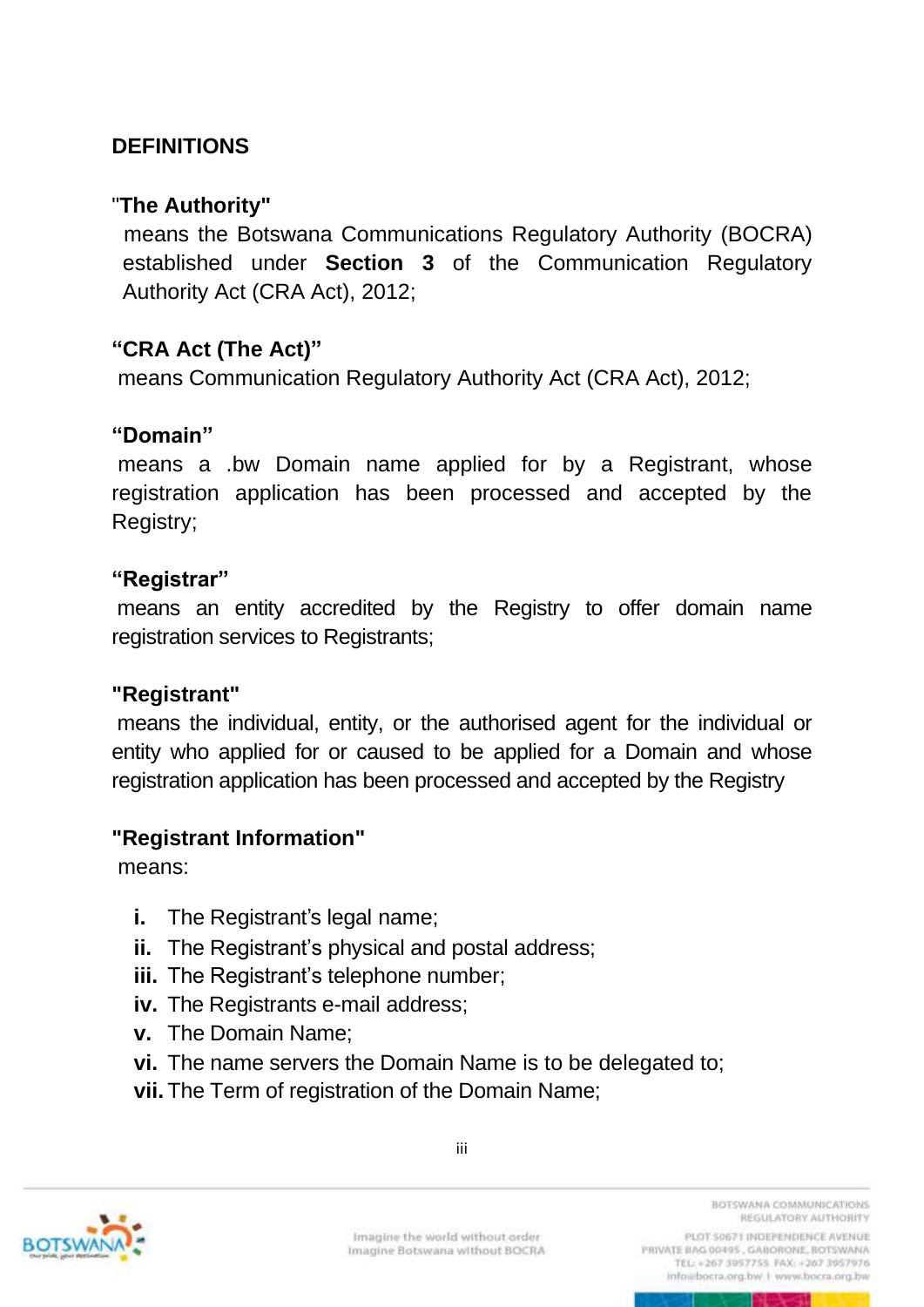### <span id="page-3-0"></span>**DEFINITIONS**

#### "**The Authority"**

 means the Botswana Communications Regulatory Authority (BOCRA) established under **Section 3** of the Communication Regulatory Authority Act (CRA Act), 2012;

### **"CRA Act (The Act)"**

means Communication Regulatory Authority Act (CRA Act), 2012;

#### **"Domain"**

means a .bw Domain name applied for by a Registrant, whose registration application has been processed and accepted by the Registry;

#### **"Registrar"**

means an entity accredited by the Registry to offer domain name registration services to Registrants;

#### **"Registrant"**

means the individual, entity, or the authorised agent for the individual or entity who applied for or caused to be applied for a Domain and whose registration application has been processed and accepted by the Registry

#### **"Registrant Information"**

means:

- **i.** The Registrant's legal name;
- **ii.** The Registrant's physical and postal address;
- **iii.** The Registrant's telephone number;
- **iv.** The Registrants e-mail address;
- **v.** The Domain Name;
- **vi.** The name servers the Domain Name is to be delegated to;
- **vii.** The Term of registration of the Domain Name;



iii

BOTSWANA COMMUNICATIONS REGULATORY AUTHORITY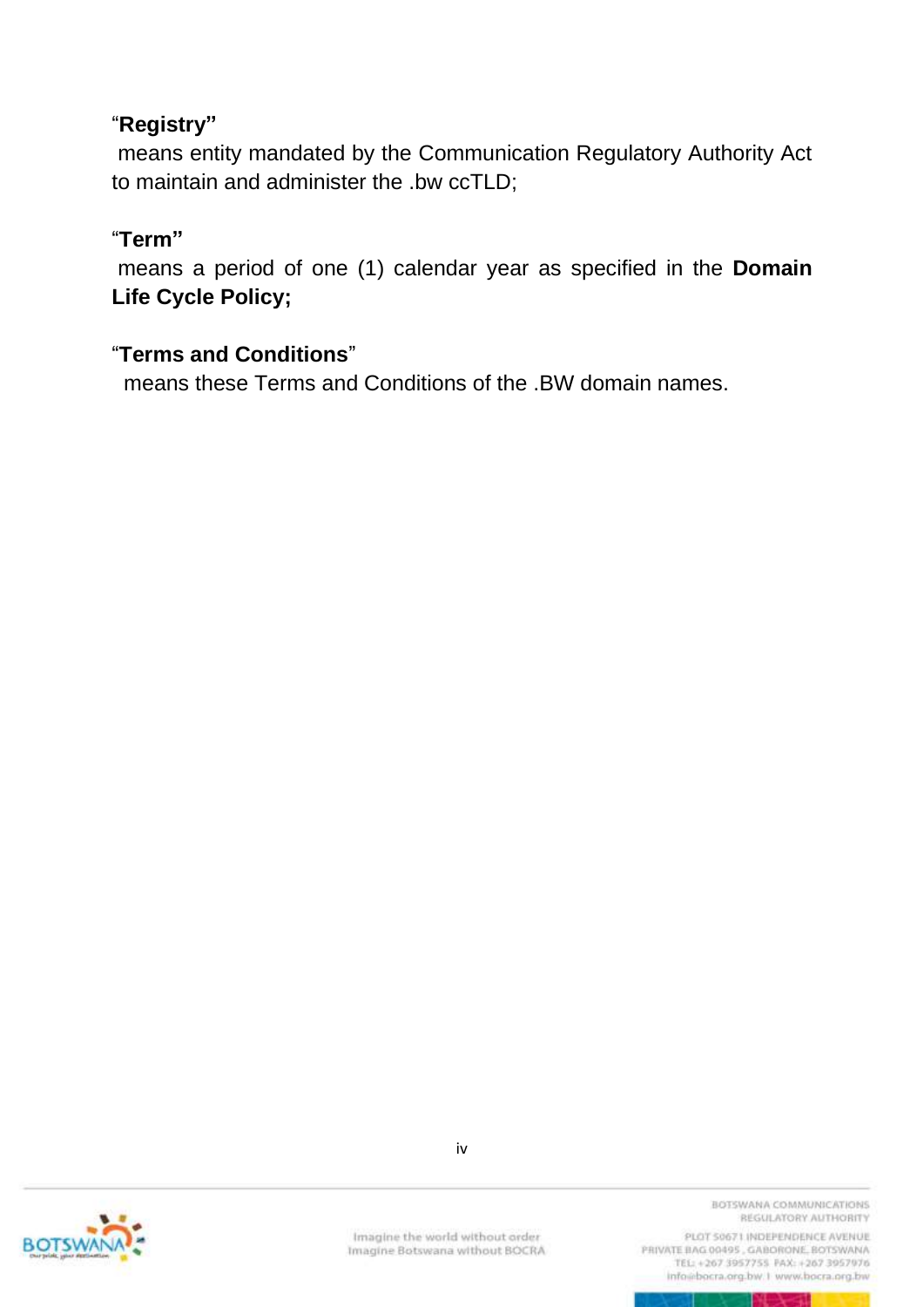### "**Registry"**

means entity mandated by the Communication Regulatory Authority Act to maintain and administer the .bw ccTLD;

### "**Term"**

means a period of one (1) calendar year as specified in the **Domain Life Cycle Policy;**

### "**Terms and Conditions**"

means these Terms and Conditions of the .BW domain names.



Imagine the world without order Imagine Botswana without BOCRA BOTSWANA COMMUNICATIONS REGULATORY AUTHORITY

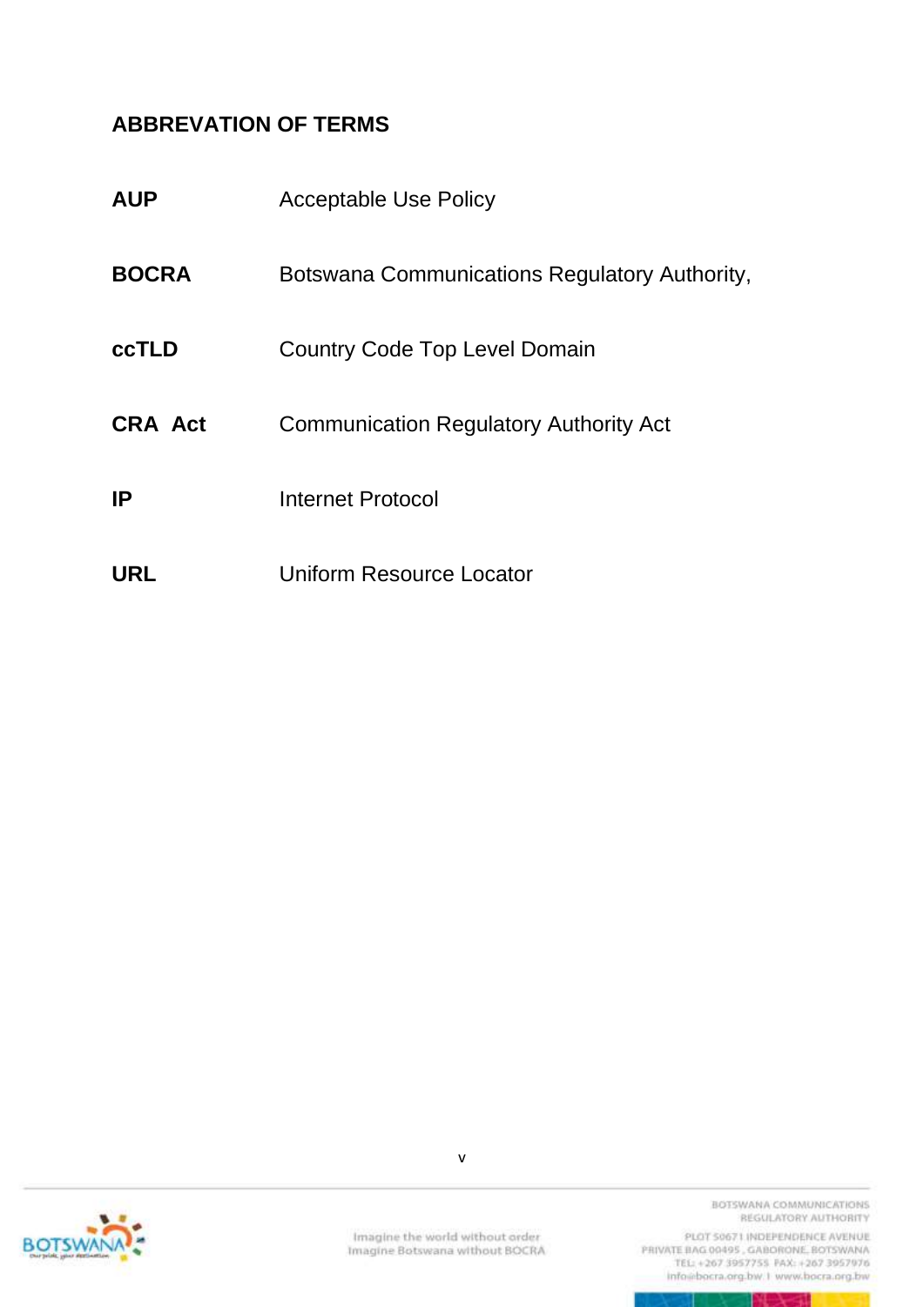### **ABBREVATION OF TERMS**

| <b>AUP</b>     | <b>Acceptable Use Policy</b>                  |
|----------------|-----------------------------------------------|
| <b>BOCRA</b>   | Botswana Communications Regulatory Authority, |
| <b>ccTLD</b>   | Country Code Top Level Domain                 |
| <b>CRA Act</b> | <b>Communication Regulatory Authority Act</b> |
| IP             | <b>Internet Protocol</b>                      |
| <b>URL</b>     | Uniform Resource Locator                      |



v

BOTSWANA COMMUNICATIONS REGULATORY AUTHORITY

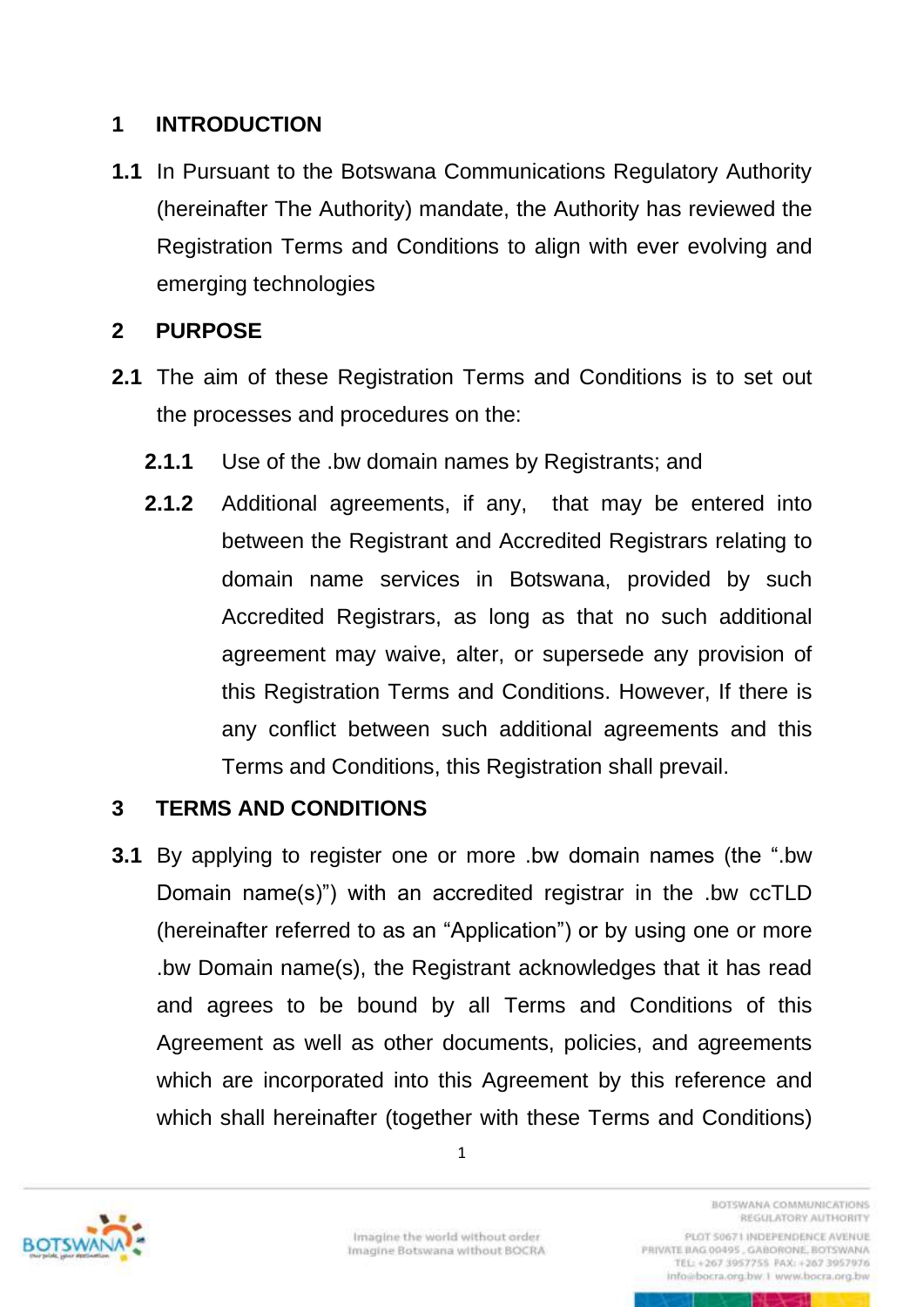### <span id="page-6-0"></span>**1 INTRODUCTION**

**1.1** In Pursuant to the Botswana Communications Regulatory Authority (hereinafter The Authority) mandate, the Authority has reviewed the Registration Terms and Conditions to align with ever evolving and emerging technologies

### <span id="page-6-1"></span>**2 PURPOSE**

- **2.1** The aim of these Registration Terms and Conditions is to set out the processes and procedures on the:
	- **2.1.1** Use of the .bw domain names by Registrants; and
	- **2.1.2** Additional agreements, if any, that may be entered into between the Registrant and Accredited Registrars relating to domain name services in Botswana, provided by such Accredited Registrars, as long as that no such additional agreement may waive, alter, or supersede any provision of this Registration Terms and Conditions. However, If there is any conflict between such additional agreements and this Terms and Conditions, this Registration shall prevail.

#### <span id="page-6-2"></span>**3 TERMS AND CONDITIONS**

**3.1** By applying to register one or more .bw domain names (the ".bw Domain name(s)") with an accredited registrar in the .bw ccTLD (hereinafter referred to as an "Application") or by using one or more .bw Domain name(s), the Registrant acknowledges that it has read and agrees to be bound by all Terms and Conditions of this Agreement as well as other documents, policies, and agreements which are incorporated into this Agreement by this reference and which shall hereinafter (together with these Terms and Conditions)



TEL: +267 3957755 PAX: +267 3957976 info@bocra.org.bw.1 www.bocra.org.bw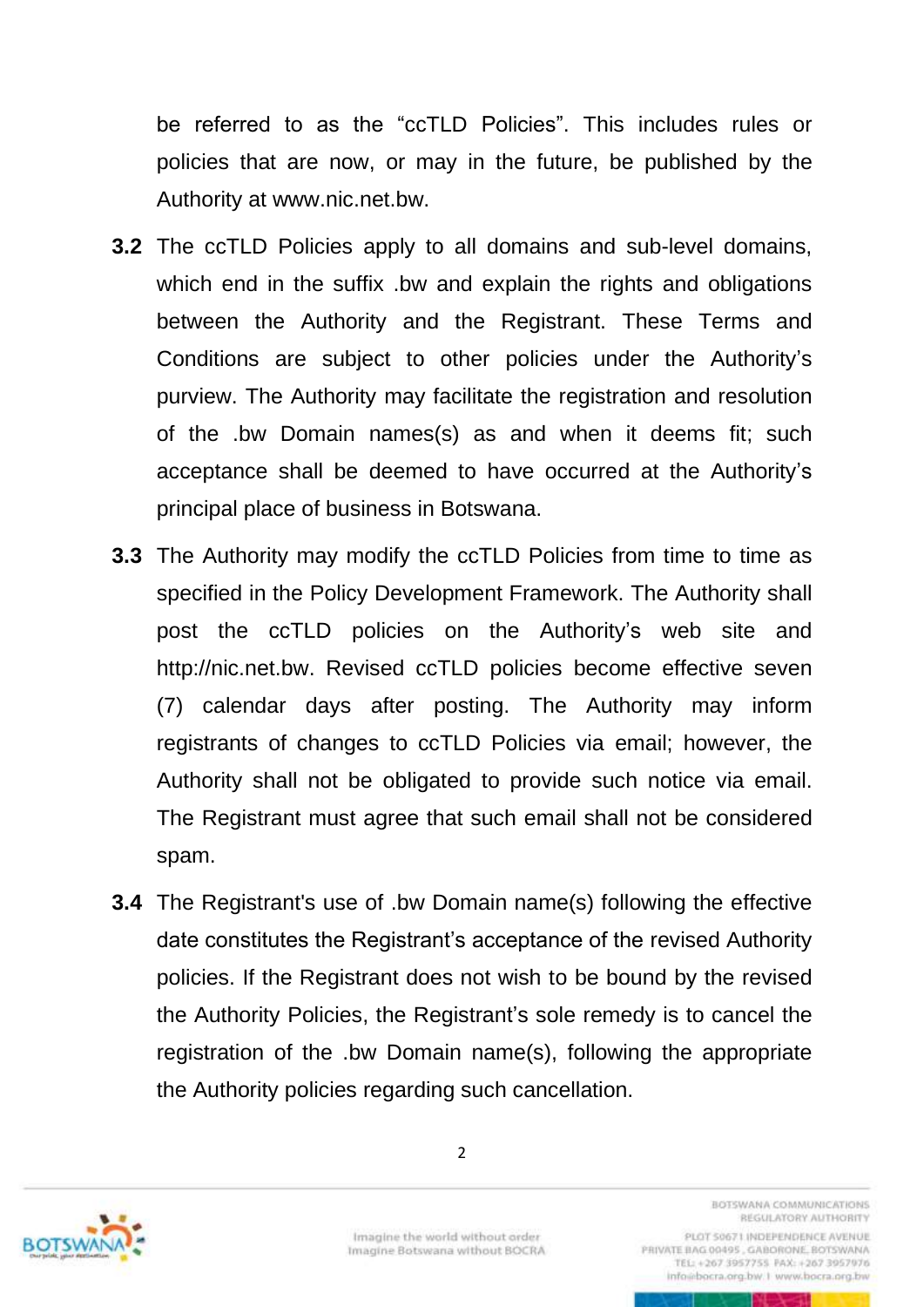be referred to as the "ccTLD Policies". This includes rules or policies that are now, or may in the future, be published by the Authority at [www.nic.net.bw.](http://www.nic.net.bw/)

- **3.2** The ccTLD Policies apply to all domains and sub-level domains, which end in the suffix .bw and explain the rights and obligations between the Authority and the Registrant. These Terms and Conditions are subject to other policies under the Authority's purview. The Authority may facilitate the registration and resolution of the .bw Domain names(s) as and when it deems fit; such acceptance shall be deemed to have occurred at the Authority's principal place of business in Botswana.
- **3.3** The Authority may modify the ccTLD Policies from time to time as specified in the Policy Development Framework. The Authority shall post the ccTLD policies on the Authority's web site and http://nic.net.bw. Revised ccTLD policies become effective seven (7) calendar days after posting. The Authority may inform registrants of changes to ccTLD Policies via email; however, the Authority shall not be obligated to provide such notice via email. The Registrant must agree that such email shall not be considered spam.
- **3.4** The Registrant's use of .bw Domain name(s) following the effective date constitutes the Registrant's acceptance of the revised Authority policies. If the Registrant does not wish to be bound by the revised the Authority Policies, the Registrant's sole remedy is to cancel the registration of the .bw Domain name(s), following the appropriate the Authority policies regarding such cancellation.



Imagine the world without order Imagine Botswana without BOCRA

2

**BOTSWANA COMMUNICATIONS** REGULATORY AUTHORITY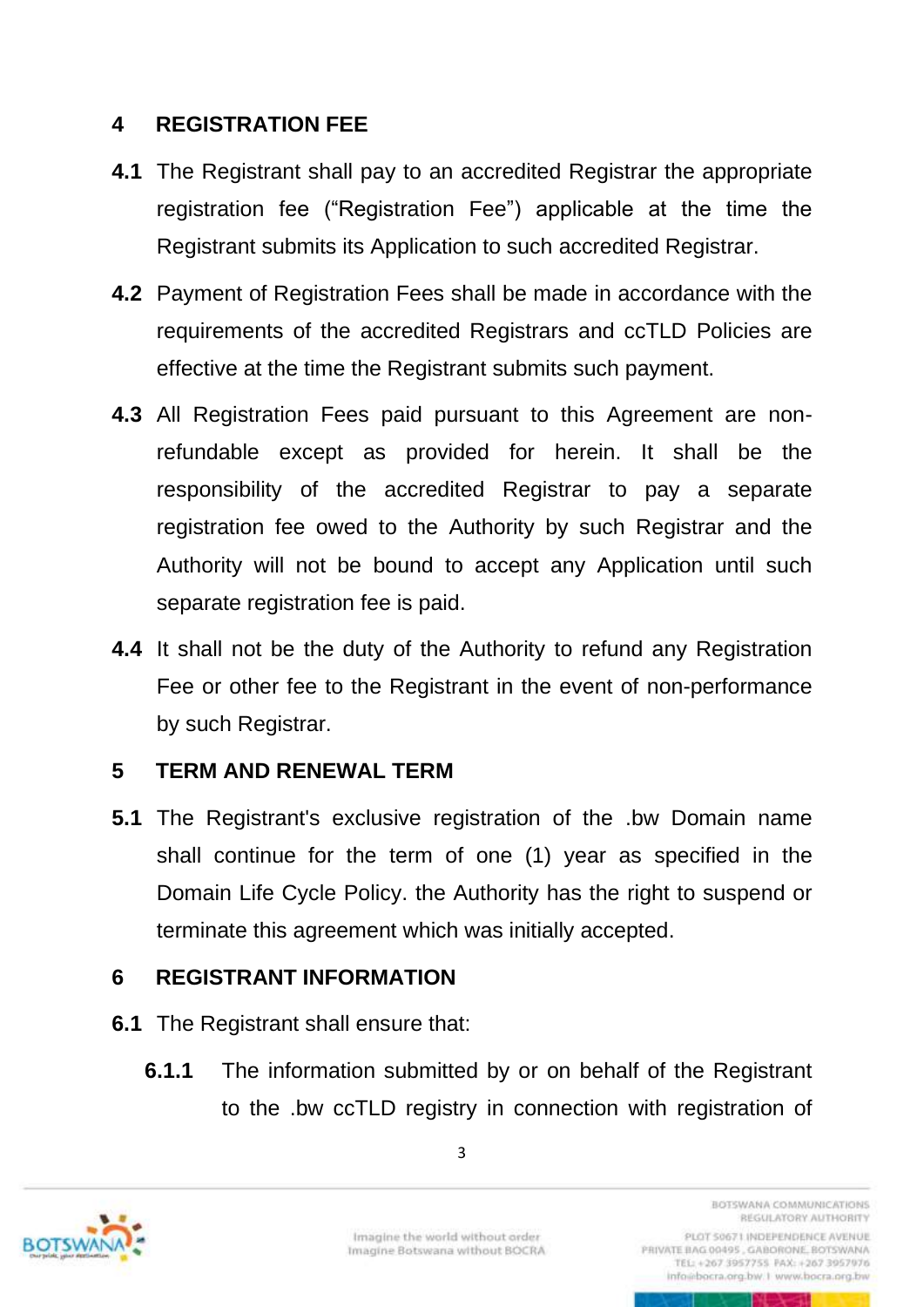### <span id="page-8-0"></span>**4 REGISTRATION FEE**

- **4.1** The Registrant shall pay to an accredited Registrar the appropriate registration fee ("Registration Fee") applicable at the time the Registrant submits its Application to such accredited Registrar.
- **4.2** Payment of Registration Fees shall be made in accordance with the requirements of the accredited Registrars and ccTLD Policies are effective at the time the Registrant submits such payment.
- **4.3** All Registration Fees paid pursuant to this Agreement are nonrefundable except as provided for herein. It shall be the responsibility of the accredited Registrar to pay a separate registration fee owed to the Authority by such Registrar and the Authority will not be bound to accept any Application until such separate registration fee is paid.
- **4.4** It shall not be the duty of the Authority to refund any Registration Fee or other fee to the Registrant in the event of non-performance by such Registrar.

# <span id="page-8-1"></span>**5 TERM AND RENEWAL TERM**

**5.1** The Registrant's exclusive registration of the .bw Domain name shall continue for the term of one (1) year as specified in the Domain Life Cycle Policy. the Authority has the right to suspend or terminate this agreement which was initially accepted.

# <span id="page-8-2"></span>**6 REGISTRANT INFORMATION**

- **6.1** The Registrant shall ensure that:
	- **6.1.1** The information submitted by or on behalf of the Registrant to the .bw ccTLD registry in connection with registration of



3

PRIVATE BAG 00495, GABORONE, BOTSWANA TEL: +267 3957755 FAX: +267 3957976 info@bocra.org.bw.1 www.bocra.org.bw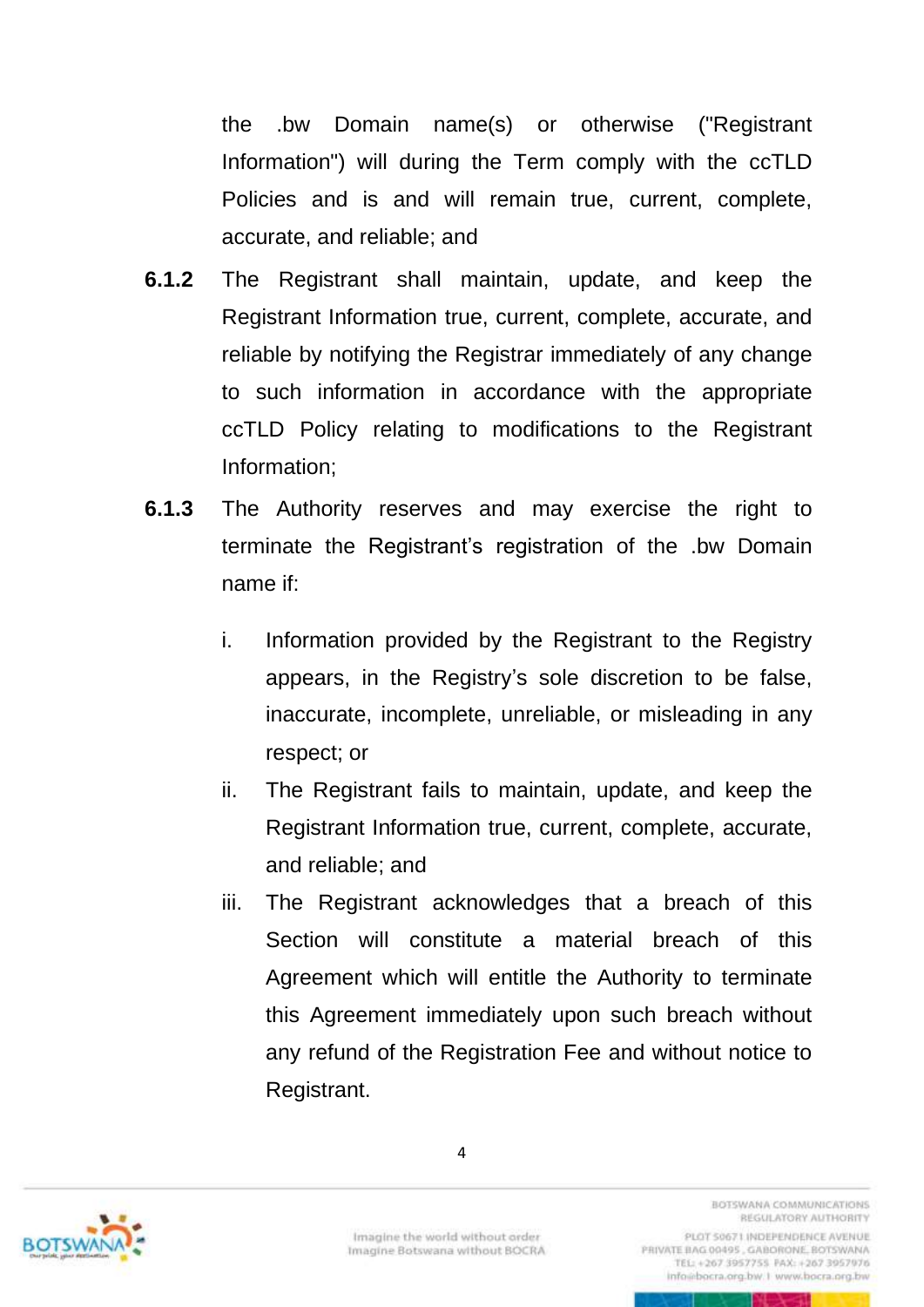the .bw Domain name(s) or otherwise ("Registrant Information") will during the Term comply with the ccTLD Policies and is and will remain true, current, complete, accurate, and reliable; and

- **6.1.2** The Registrant shall maintain, update, and keep the Registrant Information true, current, complete, accurate, and reliable by notifying the Registrar immediately of any change to such information in accordance with the appropriate ccTLD Policy relating to modifications to the Registrant Information;
- **6.1.3** The Authority reserves and may exercise the right to terminate the Registrant's registration of the .bw Domain name if:
	- i. Information provided by the Registrant to the Registry appears, in the Registry's sole discretion to be false, inaccurate, incomplete, unreliable, or misleading in any respect; or
	- ii. The Registrant fails to maintain, update, and keep the Registrant Information true, current, complete, accurate, and reliable; and
	- iii. The Registrant acknowledges that a breach of this Section will constitute a material breach of this Agreement which will entitle the Authority to terminate this Agreement immediately upon such breach without any refund of the Registration Fee and without notice to Registrant.



4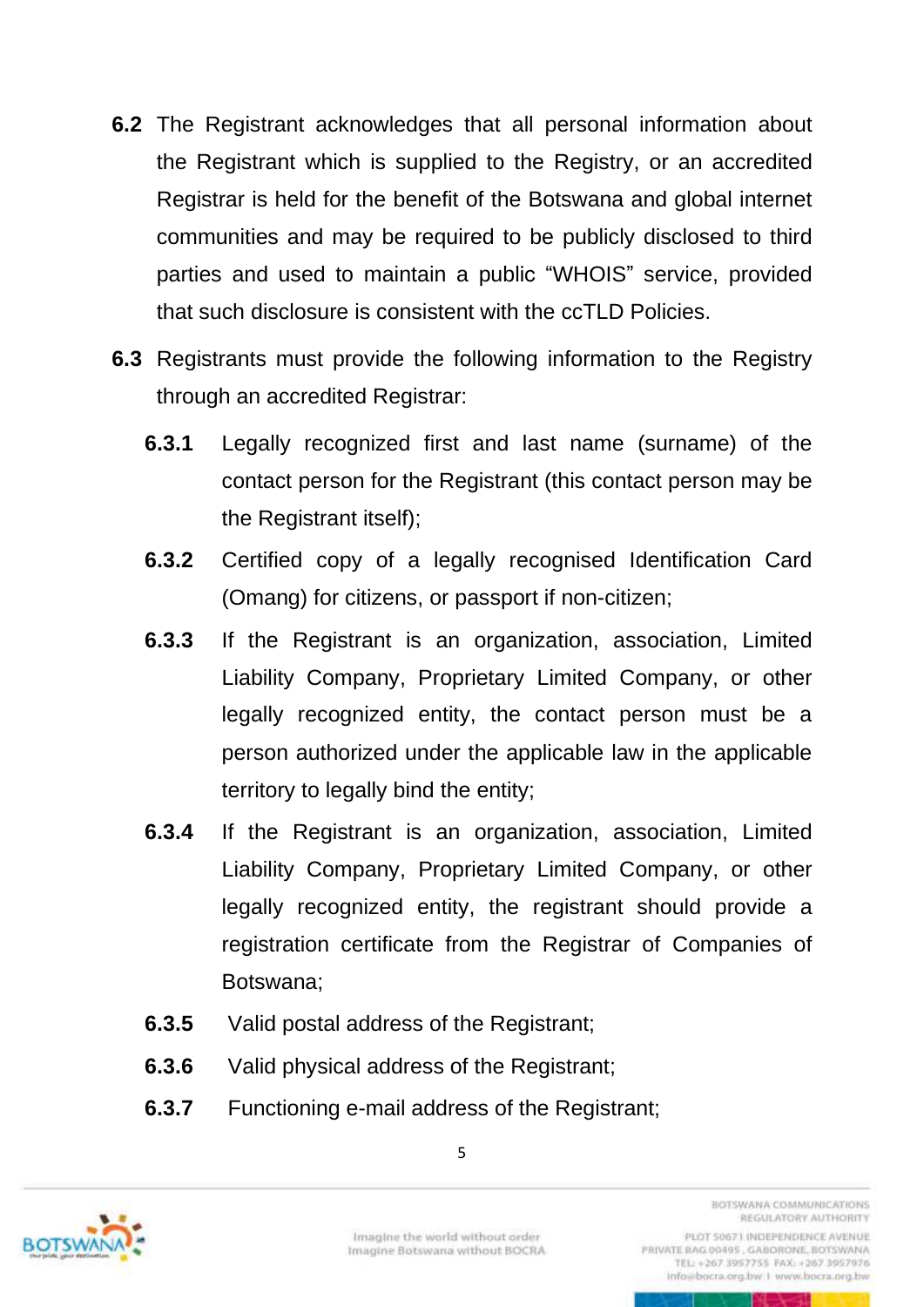- **6.2** The Registrant acknowledges that all personal information about the Registrant which is supplied to the Registry, or an accredited Registrar is held for the benefit of the Botswana and global internet communities and may be required to be publicly disclosed to third parties and used to maintain a public "WHOIS" service, provided that such disclosure is consistent with the ccTLD Policies.
- **6.3** Registrants must provide the following information to the Registry through an accredited Registrar:
	- **6.3.1** Legally recognized first and last name (surname) of the contact person for the Registrant (this contact person may be the Registrant itself);
	- **6.3.2** Certified copy of a legally recognised Identification Card (Omang) for citizens, or passport if non-citizen;
	- **6.3.3** If the Registrant is an organization, association, Limited Liability Company, Proprietary Limited Company, or other legally recognized entity, the contact person must be a person authorized under the applicable law in the applicable territory to legally bind the entity;
	- **6.3.4** If the Registrant is an organization, association, Limited Liability Company, Proprietary Limited Company, or other legally recognized entity, the registrant should provide a registration certificate from the Registrar of Companies of Botswana;
	- **6.3.5** Valid postal address of the Registrant;
	- **6.3.6** Valid physical address of the Registrant;
	- **6.3.7** Functioning e-mail address of the Registrant;



5

RETURNATION COMMUNICATIONS REGULATORY AUTHORITY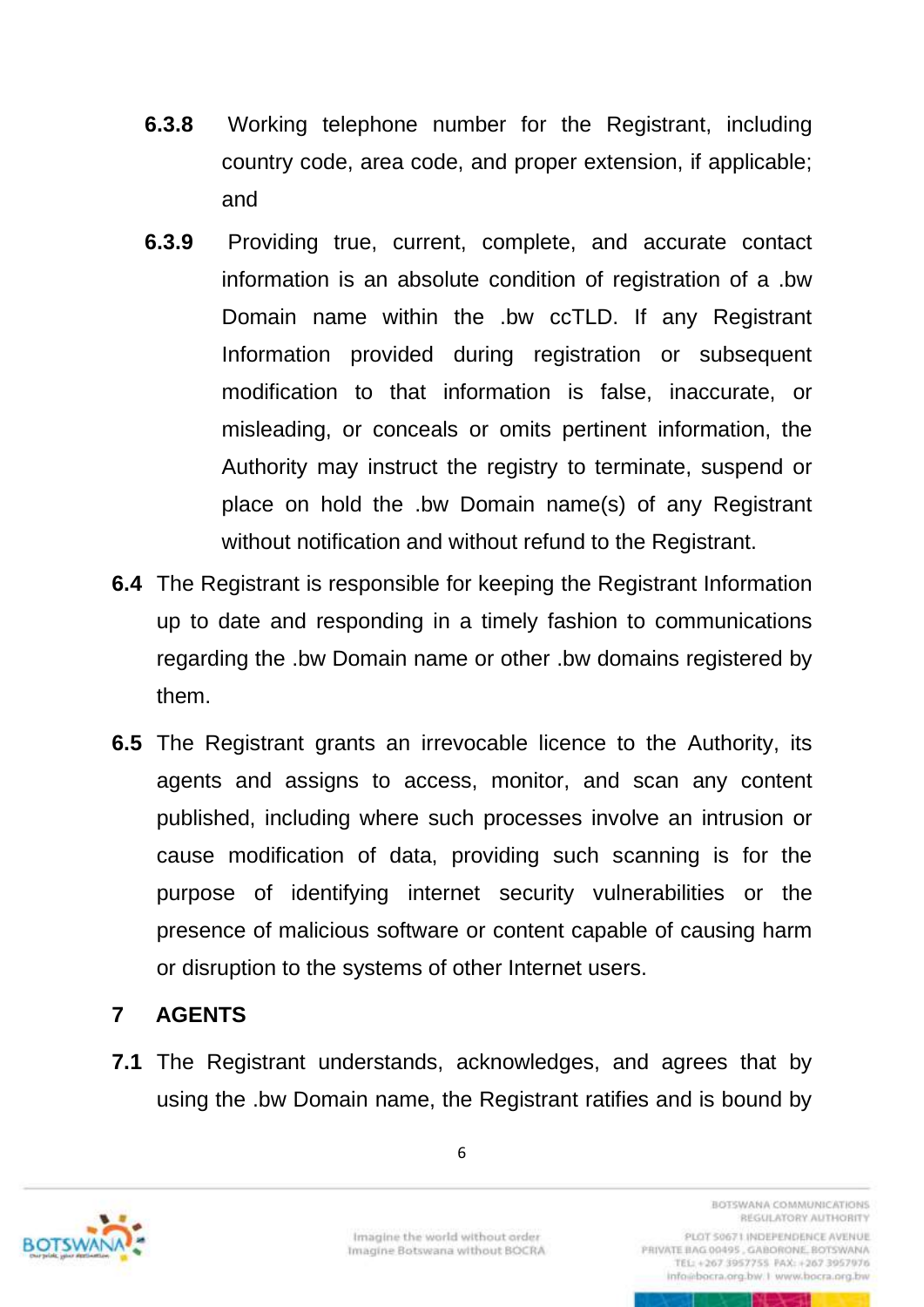- **6.3.8** Working telephone number for the Registrant, including country code, area code, and proper extension, if applicable; and
- **6.3.9** Providing true, current, complete, and accurate contact information is an absolute condition of registration of a .bw Domain name within the .bw ccTLD. If any Registrant Information provided during registration or subsequent modification to that information is false, inaccurate, or misleading, or conceals or omits pertinent information, the Authority may instruct the registry to terminate, suspend or place on hold the .bw Domain name(s) of any Registrant without notification and without refund to the Registrant.
- **6.4** The Registrant is responsible for keeping the Registrant Information up to date and responding in a timely fashion to communications regarding the .bw Domain name or other .bw domains registered by them.
- **6.5** The Registrant grants an irrevocable licence to the Authority, its agents and assigns to access, monitor, and scan any content published, including where such processes involve an intrusion or cause modification of data, providing such scanning is for the purpose of identifying internet security vulnerabilities or the presence of malicious software or content capable of causing harm or disruption to the systems of other Internet users.

### <span id="page-11-0"></span>**7 AGENTS**

**7.1** The Registrant understands, acknowledges, and agrees that by using the .bw Domain name, the Registrant ratifies and is bound by

6



RETURNATION COMMUNICATIONS REGULATORY AUTHORITY PLOT 50671 INDEPENDENCE AVENUE

PRIVATE BAG 00495, GABORONE, BOTSWANA TEL: +267 3957755 FAX: +267 3957976 info@bocra.org.bw.1 www.bocra.org.bw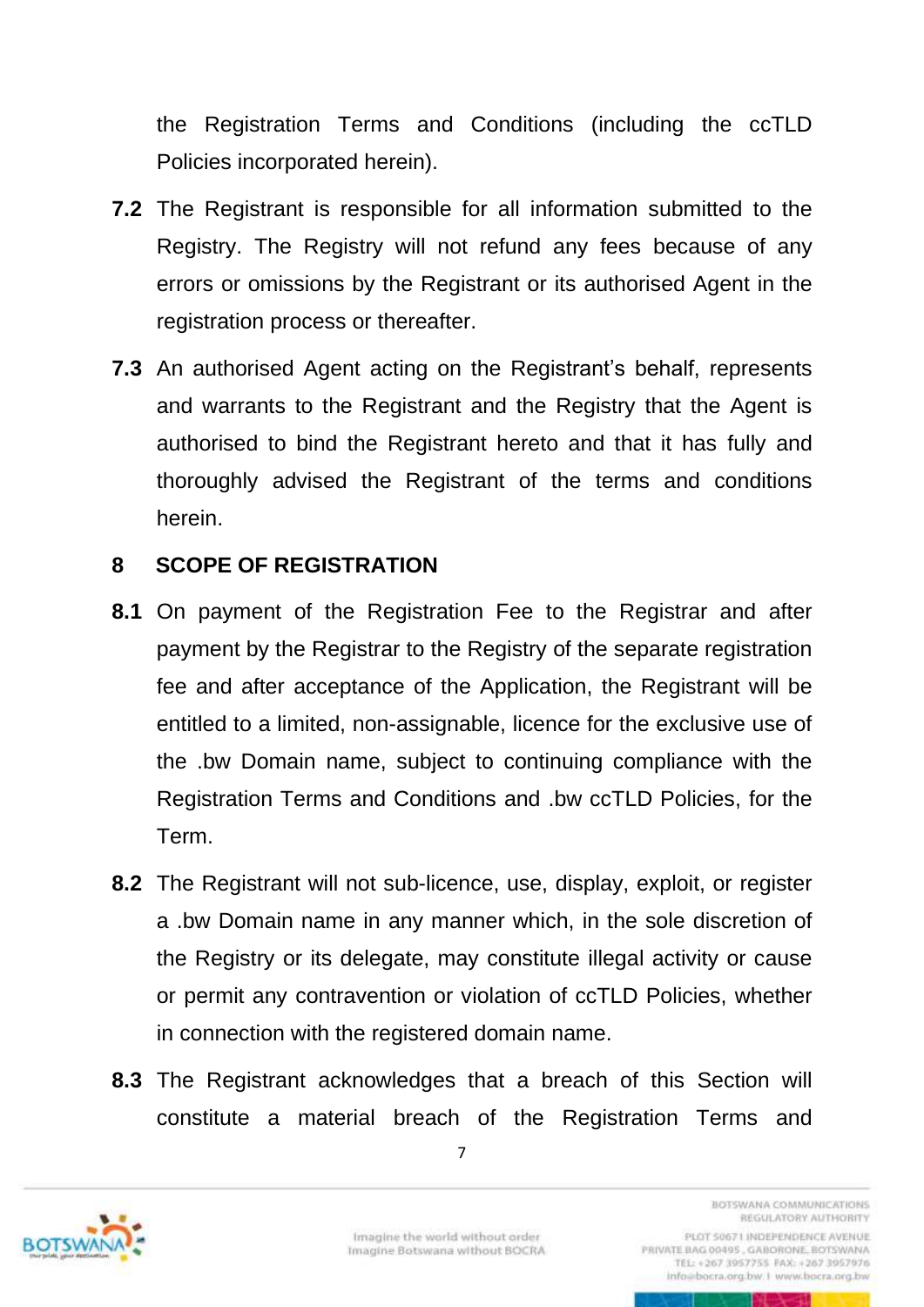the Registration Terms and Conditions (including the ccTLD Policies incorporated herein).

- **7.2** The Registrant is responsible for all information submitted to the Registry. The Registry will not refund any fees because of any errors or omissions by the Registrant or its authorised Agent in the registration process or thereafter.
- **7.3** An authorised Agent acting on the Registrant's behalf, represents and warrants to the Registrant and the Registry that the Agent is authorised to bind the Registrant hereto and that it has fully and thoroughly advised the Registrant of the terms and conditions herein.

### <span id="page-12-0"></span>**8 SCOPE OF REGISTRATION**

- **8.1** On payment of the Registration Fee to the Registrar and after payment by the Registrar to the Registry of the separate registration fee and after acceptance of the Application, the Registrant will be entitled to a limited, non-assignable, licence for the exclusive use of the .bw Domain name, subject to continuing compliance with the Registration Terms and Conditions and .bw ccTLD Policies, for the Term.
- **8.2** The Registrant will not sub-licence, use, display, exploit, or register a .bw Domain name in any manner which, in the sole discretion of the Registry or its delegate, may constitute illegal activity or cause or permit any contravention or violation of ccTLD Policies, whether in connection with the registered domain name.
- **8.3** The Registrant acknowledges that a breach of this [Section](file://///BOCRAdata.BOCRA.org.bw/ccTLD/Policy/policies/policy-final/REGISTRATION%20AGREEMENT-management.docx%23Acceptable_Use) will constitute a material breach of the Registration Terms and



TEL: +267 3957755 PAX: +267 3957976 info@bocra.org.bw.1 www.bocra.org.bw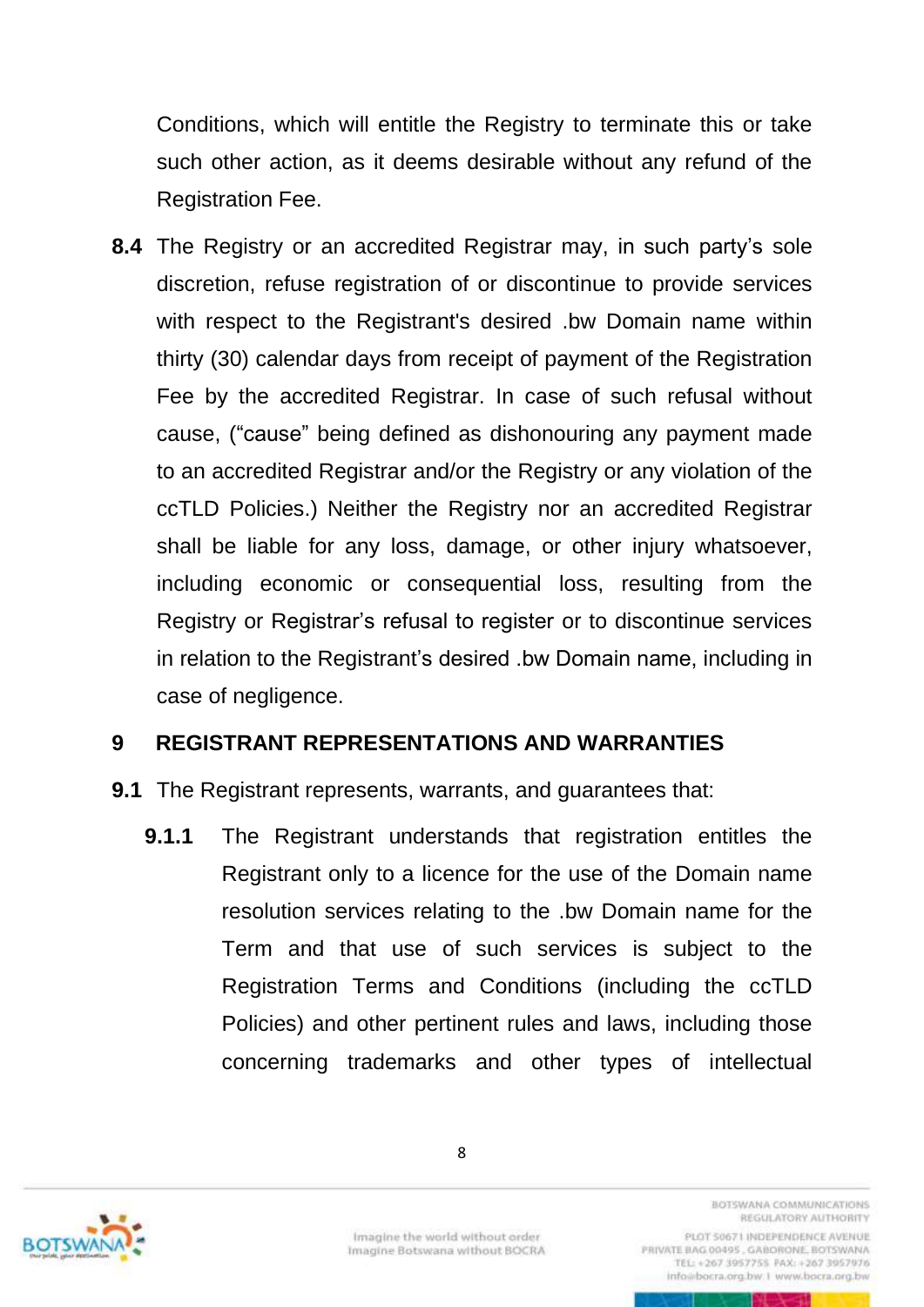Conditions, which will entitle the Registry to terminate this or take such other action, as it deems desirable without any refund of the Registration Fee.

**8.4** The Registry or an accredited Registrar may, in such party's sole discretion, refuse registration of or discontinue to provide services with respect to the Registrant's desired .bw Domain name within thirty (30) calendar days from receipt of payment of the Registration Fee by the accredited Registrar. In case of such refusal without cause, ("cause" being defined as dishonouring any payment made to an accredited Registrar and/or the Registry or any violation of the ccTLD Policies.) Neither the Registry nor an accredited Registrar shall be liable for any loss, damage, or other injury whatsoever, including economic or consequential loss, resulting from the Registry or Registrar's refusal to register or to discontinue services in relation to the Registrant's desired .bw Domain name, including in case of negligence.

#### <span id="page-13-0"></span>**9 REGISTRANT REPRESENTATIONS AND WARRANTIES**

- **9.1** The Registrant represents, warrants, and guarantees that:
	- **9.1.1** The Registrant understands that registration entitles the Registrant only to a licence for the use of the Domain name resolution services relating to the .bw Domain name for the Term and that use of such services is subject to the Registration Terms and Conditions (including the ccTLD Policies) and other pertinent rules and laws, including those concerning trademarks and other types of intellectual



Imagine the world without order Imagine Botswana without BOCRA **BOTSWANA COMMUNICATIONS** REGULATORY AUTHORITY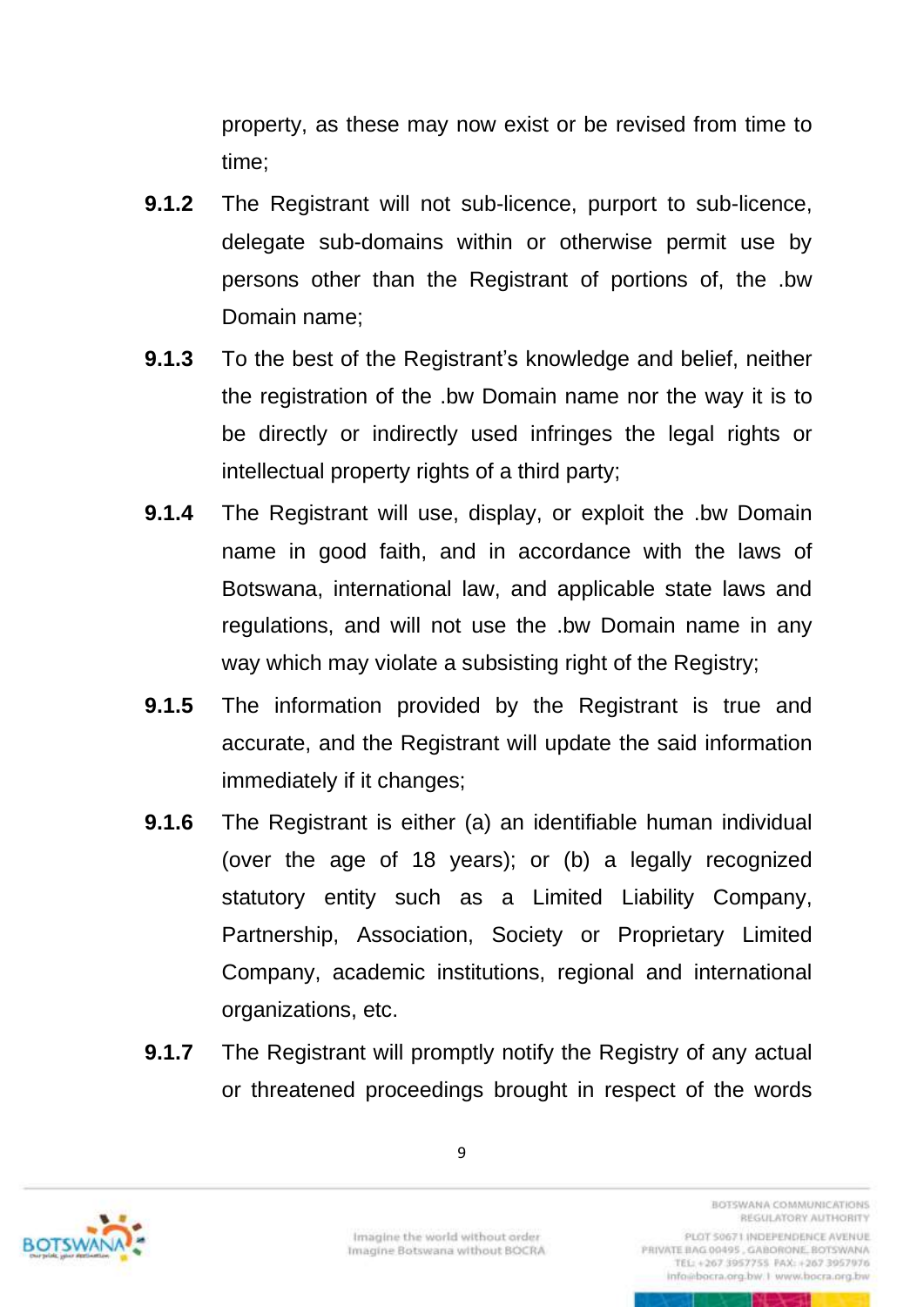property, as these may now exist or be revised from time to time;

- **9.1.2** The Registrant will not sub-licence, purport to sub-licence, delegate sub-domains within or otherwise permit use by persons other than the Registrant of portions of, the .bw Domain name;
- **9.1.3** To the best of the Registrant's knowledge and belief, neither the registration of the .bw Domain name nor the way it is to be directly or indirectly used infringes the legal rights or intellectual property rights of a third party;
- **9.1.4** The Registrant will use, display, or exploit the .bw Domain name in good faith, and in accordance with the laws of Botswana, international law, and applicable state laws and regulations, and will not use the .bw Domain name in any way which may violate a subsisting right of the Registry;
- **9.1.5** The information provided by the Registrant is true and accurate, and the Registrant will update the said information immediately if it changes;
- **9.1.6** The Registrant is either (a) an identifiable human individual (over the age of 18 years); or (b) a legally recognized statutory entity such as a Limited Liability Company, Partnership, Association, Society or Proprietary Limited Company, academic institutions, regional and international organizations, etc.
- **9.1.7** The Registrant will promptly notify the Registry of any actual or threatened proceedings brought in respect of the words



9

RESTSUARIA CISMARINHCATIONS REGULATORY AUTHORITY PLOT 50671 INDEPENDENCE AVENUE

PRIVATE BAG 00495, GABORONE, BOTSWANA TEL: +267 3957755 FAX: +267 3957976 info@bocra.org.bw.1 www.bocra.org.bw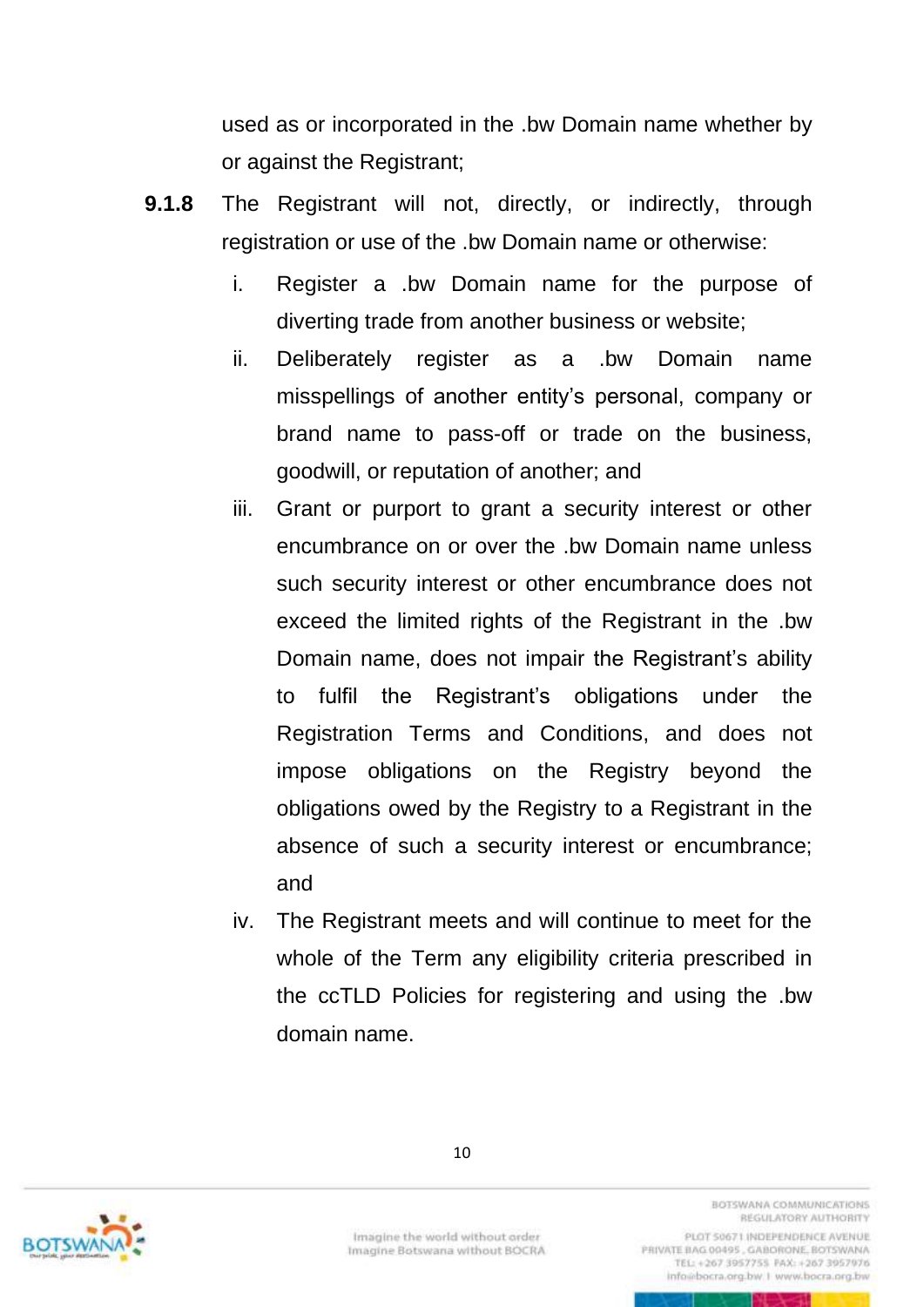used as or incorporated in the .bw Domain name whether by or against the Registrant;

- **9.1.8** The Registrant will not, directly, or indirectly, through registration or use of the .bw Domain name or otherwise:
	- i. Register a .bw Domain name for the purpose of diverting trade from another business or website;
	- ii. Deliberately register as a .bw Domain name misspellings of another entity's personal, company or brand name to pass-off or trade on the business, goodwill, or reputation of another; and
	- iii. Grant or purport to grant a security interest or other encumbrance on or over the .bw Domain name unless such security interest or other encumbrance does not exceed the limited rights of the Registrant in the .bw Domain name, does not impair the Registrant's ability to fulfil the Registrant's obligations under the Registration Terms and Conditions, and does not impose obligations on the Registry beyond the obligations owed by the Registry to a Registrant in the absence of such a security interest or encumbrance; and
	- iv. The Registrant meets and will continue to meet for the whole of the Term any eligibility criteria prescribed in the ccTLD Policies for registering and using the .bw domain name.



Imagine the world without order Imagine Botswana without BOCRA **BOTSWANA COMMUNICATIONS** REGULATORY AUTHORITY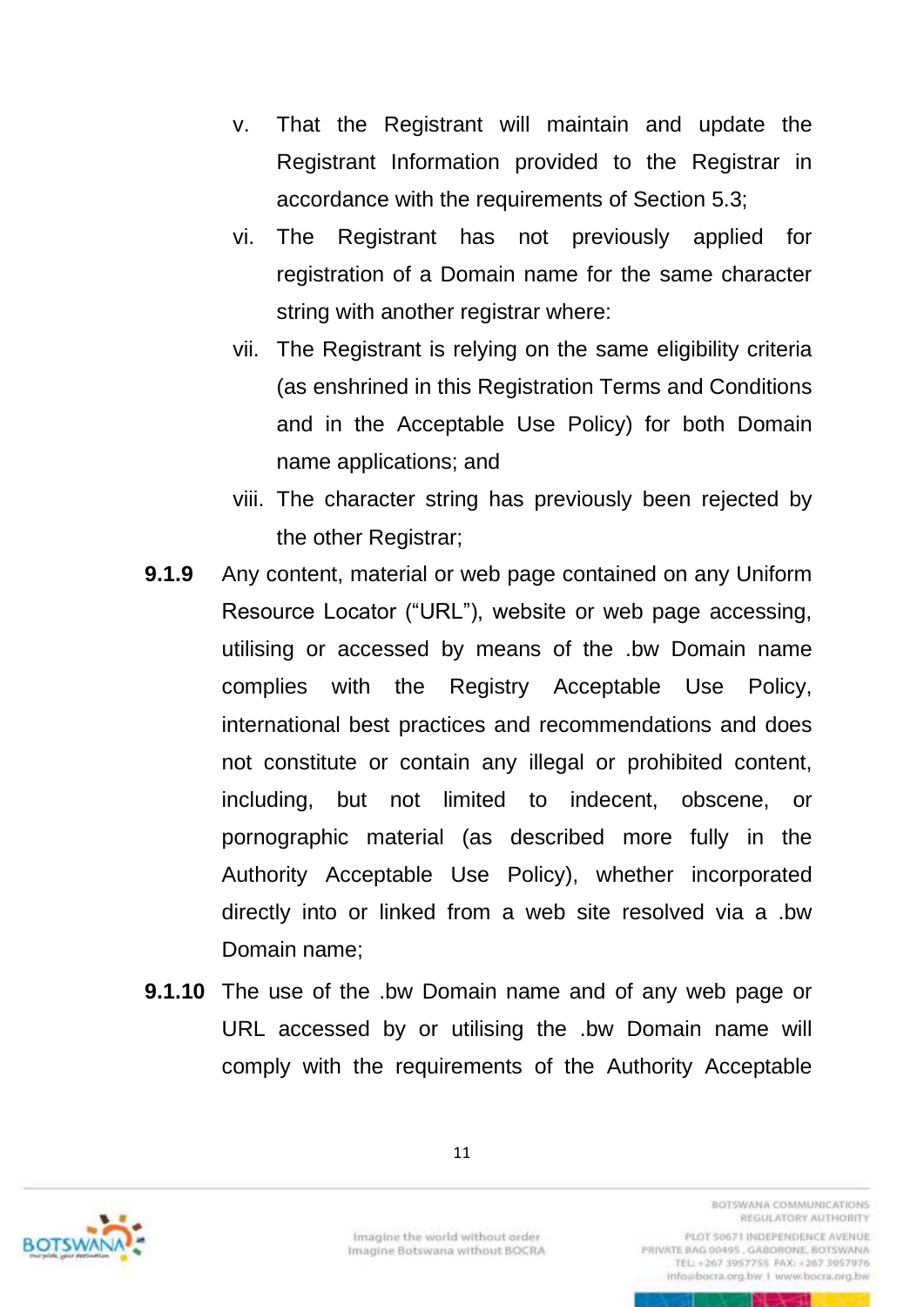- v. That the Registrant will maintain and update the Registrant Information provided to the Registrar in accordance with the requirements of Section 5.3;
- vi. The Registrant has not previously applied for registration of a Domain name for the same character string with another registrar where:
- vii. The Registrant is relying on the same eligibility criteria (as enshrined in this Registration Terms and Conditions and in the Acceptable Use Policy) for both Domain name applications; and
- viii. The character string has previously been rejected by the other Registrar;
- **9.1.9** Any content, material or web page contained on any Uniform Resource Locator ("URL"), website or web page accessing, utilising or accessed by means of the .bw Domain name complies with the Registry Acceptable Use Policy, international best practices and recommendations and does not constitute or contain any illegal or prohibited content, including, but not limited to indecent, obscene, or pornographic material (as described more fully in the Authority Acceptable Use Policy), whether incorporated directly into or linked from a web site resolved via a .bw Domain name;
- **9.1.10** The use of the .bw Domain name and of any web page or URL accessed by or utilising the .bw Domain name will comply with the requirements of the Authority Acceptable



Imagine the world without order Imagine Botswana without BOCRA **BOTSWANA COMMUNICATIONS** REGULATORY AUTHORITY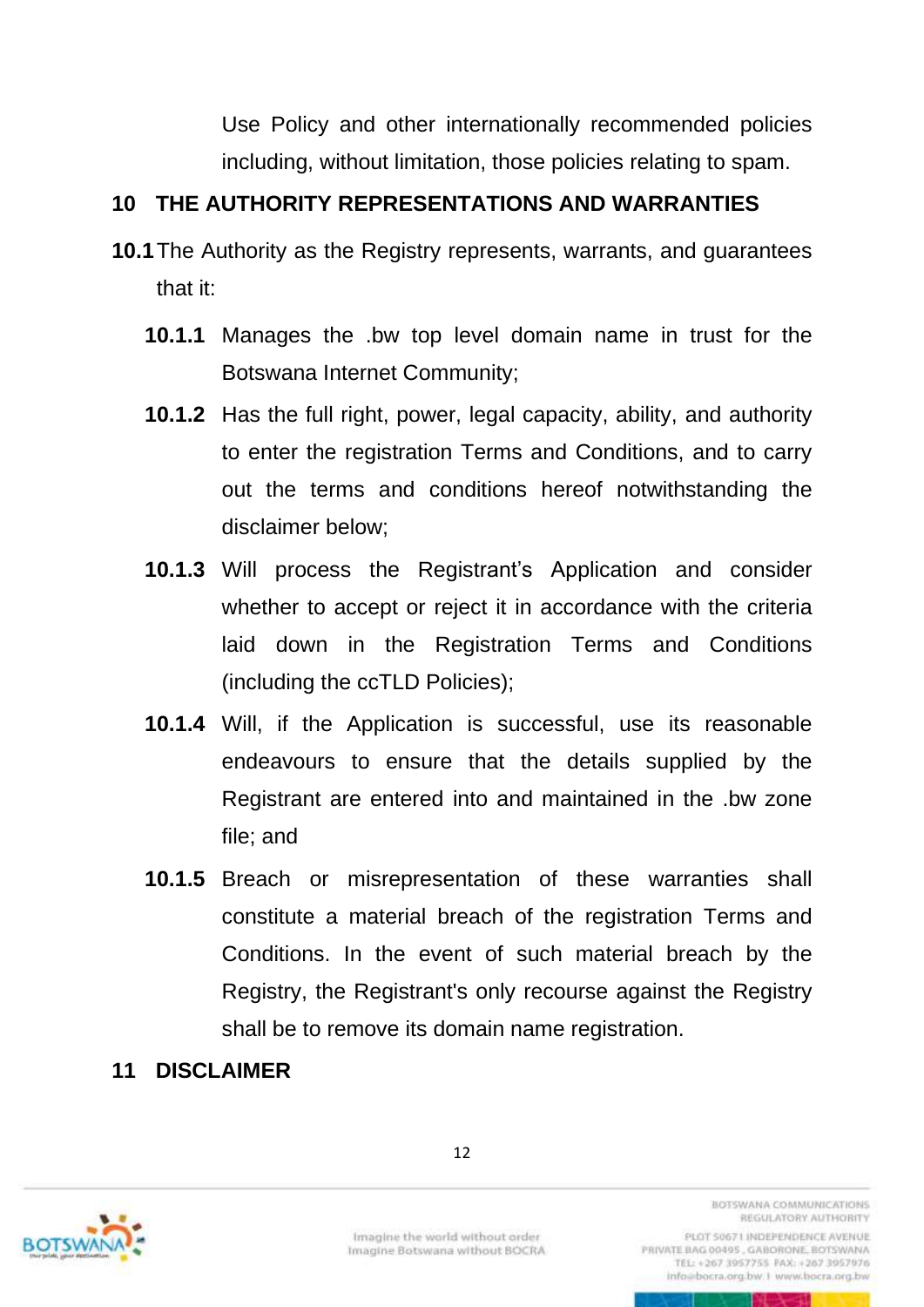Use Policy and other internationally recommended policies including, without limitation, those policies relating to spam.

### <span id="page-17-0"></span>**10 THE AUTHORITY REPRESENTATIONS AND WARRANTIES**

- **10.1**The Authority as the Registry represents, warrants, and guarantees that it:
	- **10.1.1** Manages the .bw top level domain name in trust for the Botswana Internet Community;
	- **10.1.2** Has the full right, power, legal capacity, ability, and authority to enter the registration Terms and Conditions, and to carry out the terms and conditions hereof notwithstanding the disclaimer below;
	- **10.1.3** Will process the Registrant's Application and consider whether to accept or reject it in accordance with the criteria laid down in the Registration Terms and Conditions (including the ccTLD Policies);
	- **10.1.4** Will, if the Application is successful, use its reasonable endeavours to ensure that the details supplied by the Registrant are entered into and maintained in the .bw zone file; and
	- **10.1.5** Breach or misrepresentation of these warranties shall constitute a material breach of the registration Terms and Conditions. In the event of such material breach by the Registry, the Registrant's only recourse against the Registry shall be to remove its domain name registration.

### <span id="page-17-1"></span>**11 DISCLAIMER**



Imagine the world without order Imagine Botswana without BOCRA **BOTSWANA COMMUNICATIONS** REGULATORY AUTHORITY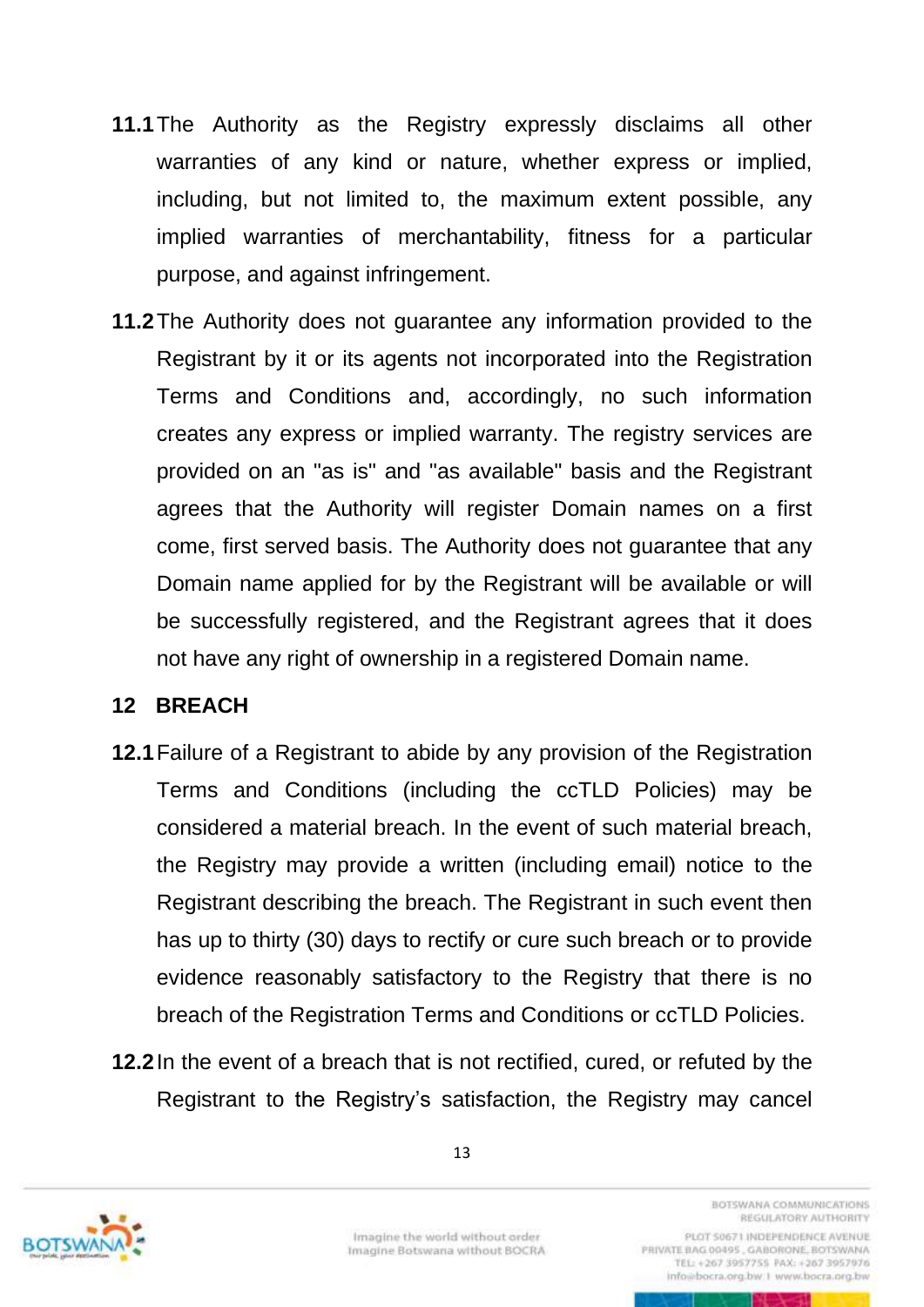- **11.1**The Authority as the Registry expressly disclaims all other warranties of any kind or nature, whether express or implied, including, but not limited to, the maximum extent possible, any implied warranties of merchantability, fitness for a particular purpose, and against infringement.
- **11.2**The Authority does not guarantee any information provided to the Registrant by it or its agents not incorporated into the Registration Terms and Conditions and, accordingly, no such information creates any express or implied warranty. The registry services are provided on an "as is" and "as available" basis and the Registrant agrees that the Authority will register Domain names on a first come, first served basis. The Authority does not guarantee that any Domain name applied for by the Registrant will be available or will be successfully registered, and the Registrant agrees that it does not have any right of ownership in a registered Domain name.

#### <span id="page-18-0"></span>**12 BREACH**

- **12.1**Failure of a Registrant to abide by any provision of the Registration Terms and Conditions (including the ccTLD Policies) may be considered a material breach. In the event of such material breach, the Registry may provide a written (including email) notice to the Registrant describing the breach. The Registrant in such event then has up to thirty (30) days to rectify or cure such breach or to provide evidence reasonably satisfactory to the Registry that there is no breach of the Registration Terms and Conditions or ccTLD Policies.
- **12.2**In the event of a breach that is not rectified, cured, or refuted by the Registrant to the Registry's satisfaction, the Registry may cancel



Imagine the world without order Imagine Botswana without BOCRA

REGULATORY AUTHORITY PLOT 50671 INDEPENDENCE AVENUE PRIVATE BAG 00495, GABORONE, BOTSWANA TEL: +267 3957755 PAX: +267 3957976 info@bocra.org.bw.1 www.bocra.org.bw

<span id="page-18-1"></span>RETURNATION COMMUNICATIONS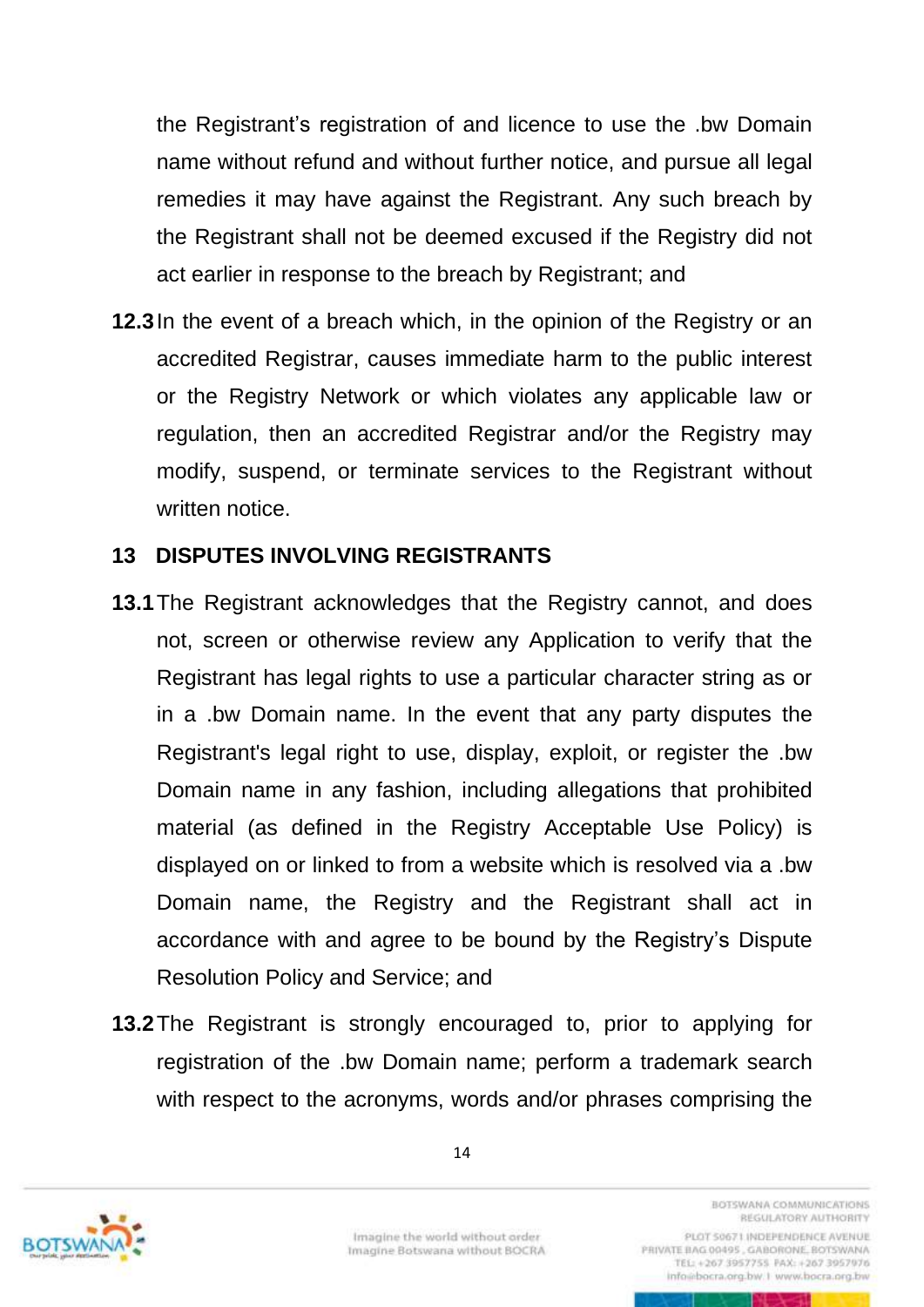the Registrant's registration of and licence to use the .bw Domain name without refund and without further notice, and pursue all legal remedies it may have against the Registrant. Any such breach by the Registrant shall not be deemed excused if the Registry did not act earlier in response to the breach by Registrant; and

**12.3**In the event of a breach which, in the opinion of the Registry or an accredited Registrar, causes immediate harm to the public interest or the Registry Network or which violates any applicable law or regulation, then an accredited Registrar and/or the Registry may modify, suspend, or terminate services to the Registrant without written notice.

#### <span id="page-19-0"></span>**13 DISPUTES INVOLVING REGISTRANTS**

- **13.1**The Registrant acknowledges that the Registry cannot, and does not, screen or otherwise review any Application to verify that the Registrant has legal rights to use a particular character string as or in a .bw Domain name. In the event that any party disputes the Registrant's legal right to use, display, exploit, or register the .bw Domain name in any fashion, including allegations that prohibited material (as defined in the Registry Acceptable Use Policy) is displayed on or linked to from a website which is resolved via a .bw Domain name, the Registry and the Registrant shall act in accordance with and agree to be bound by the Registry's Dispute Resolution Policy and Service; and
- **13.2**The Registrant is strongly encouraged to, prior to applying for registration of the .bw Domain name; perform a trademark search with respect to the acronyms, words and/or phrases comprising the

14



Imagine the world without order Imagine Botswana without BOCRA

RETURNATION COMMUNICATIONS REGULATORY AUTHORITY PLOT 50671 INDEPENDENCE AVENUE

PRIVATE BAG 00495, GABORONE, BOTSWANA TEL: +267 3957755 PAX: +267 3957976 info@bocra.org.bw.1 www.bocra.org.bw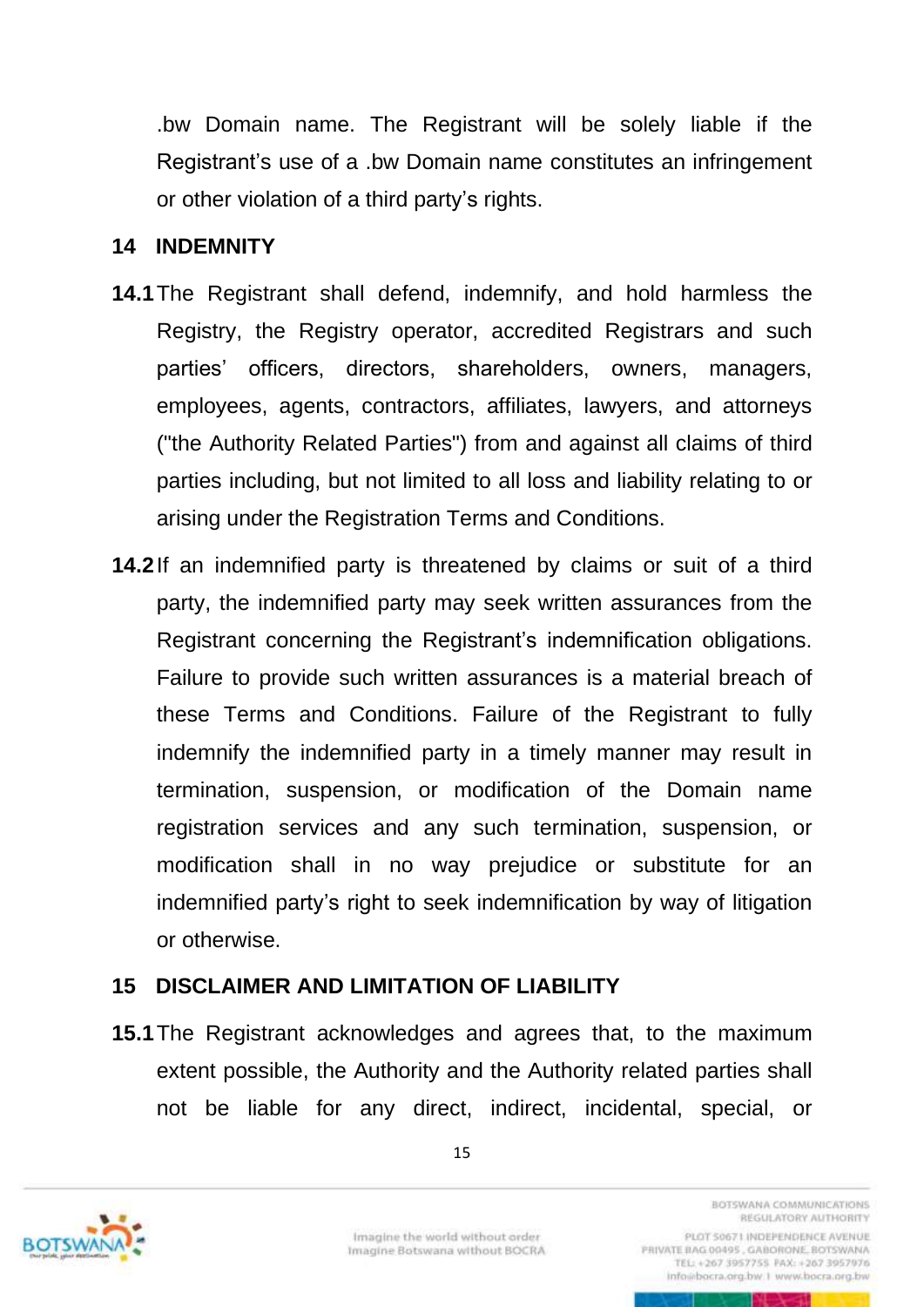.bw Domain name. The Registrant will be solely liable if the Registrant's use of a .bw Domain name constitutes an infringement or other violation of a third party's rights.

#### <span id="page-20-0"></span>**14 INDEMNITY**

- **14.1**The Registrant shall defend, indemnify, and hold harmless the Registry, the Registry operator, accredited Registrars and such parties' officers, directors, shareholders, owners, managers, employees, agents, contractors, affiliates, lawyers, and attorneys ("the Authority Related Parties") from and against all claims of third parties including, but not limited to all loss and liability relating to or arising under the Registration Terms and Conditions.
- **14.2**If an indemnified party is threatened by claims or suit of a third party, the indemnified party may seek written assurances from the Registrant concerning the Registrant's indemnification obligations. Failure to provide such written assurances is a material breach of these Terms and Conditions. Failure of the Registrant to fully indemnify the indemnified party in a timely manner may result in termination, suspension, or modification of the Domain name registration services and any such termination, suspension, or modification shall in no way prejudice or substitute for an indemnified party's right to seek indemnification by way of litigation or otherwise.

#### <span id="page-20-1"></span>**15 DISCLAIMER AND LIMITATION OF LIABILITY**

**15.1**The Registrant acknowledges and agrees that, to the maximum extent possible, the Authority and the Authority related parties shall not be liable for any direct, indirect, incidental, special, or

15



Imagine the world without order Imagine Botswana without BOCRA RETURNATION COMMUNICATIONS REGULATORY AUTHORITY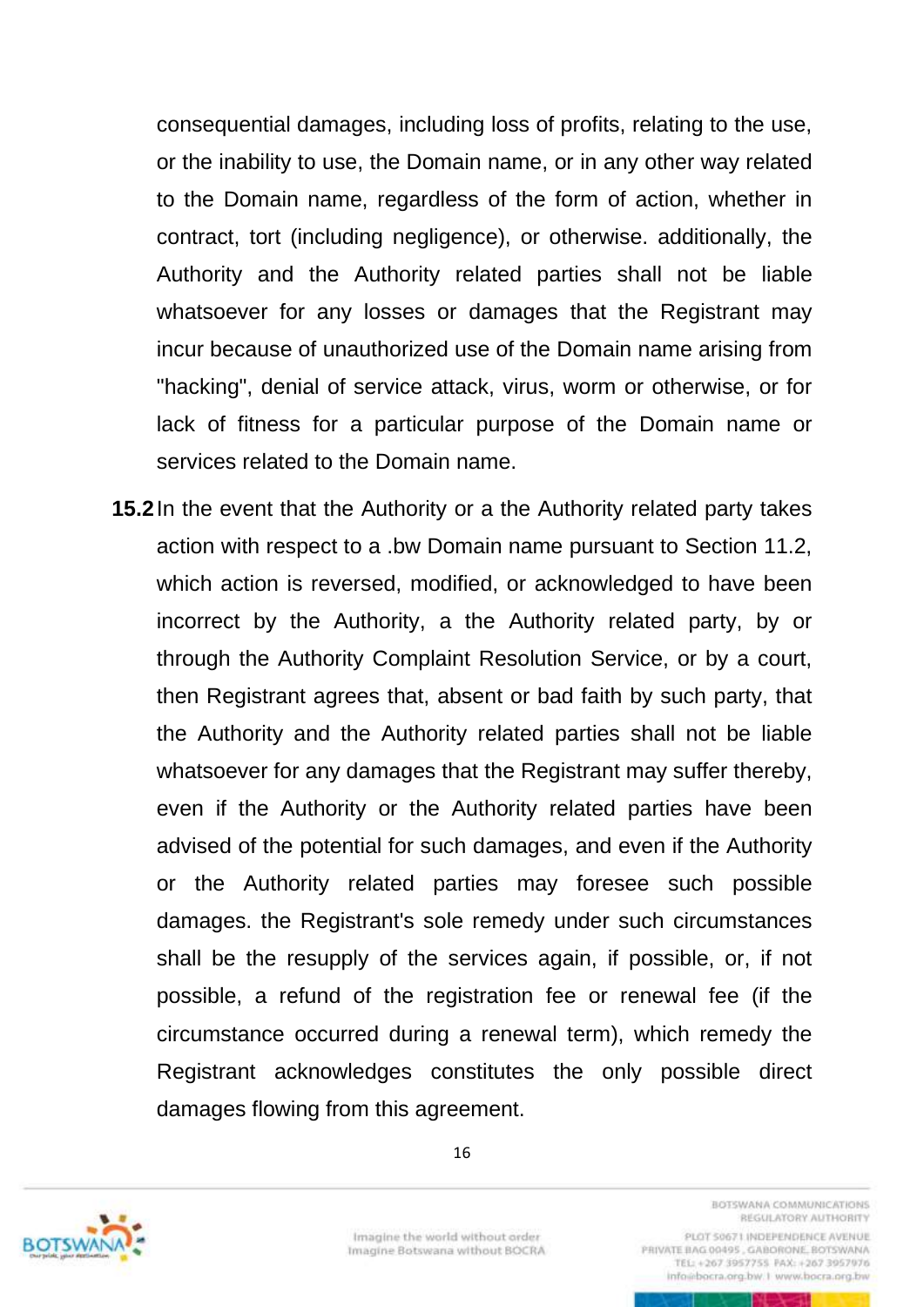consequential damages, including loss of profits, relating to the use, or the inability to use, the Domain name, or in any other way related to the Domain name, regardless of the form of action, whether in contract, tort (including negligence), or otherwise. additionally, the Authority and the Authority related parties shall not be liable whatsoever for any losses or damages that the Registrant may incur because of unauthorized use of the Domain name arising from "hacking", denial of service attack, virus, worm or otherwise, or for lack of fitness for a particular purpose of the Domain name or services related to the Domain name.

**15.2**In the event that the Authority or a the Authority related party takes action with respect to a .bw Domain name pursuant to Section [11.2,](#page-18-1) which action is reversed, modified, or acknowledged to have been incorrect by the Authority, a the Authority related party, by or through the Authority Complaint Resolution Service, or by a court, then Registrant agrees that, absent or bad faith by such party, that the Authority and the Authority related parties shall not be liable whatsoever for any damages that the Registrant may suffer thereby, even if the Authority or the Authority related parties have been advised of the potential for such damages, and even if the Authority or the Authority related parties may foresee such possible damages. the Registrant's sole remedy under such circumstances shall be the resupply of the services again, if possible, or, if not possible, a refund of the registration fee or renewal fee (if the circumstance occurred during a renewal term), which remedy the Registrant acknowledges constitutes the only possible direct damages flowing from this agreement.



Imagine the world without order Imagine Botswana without BOCRA

16

RETURNATION COMMUNICATIONS REGULATORY AUTHORITY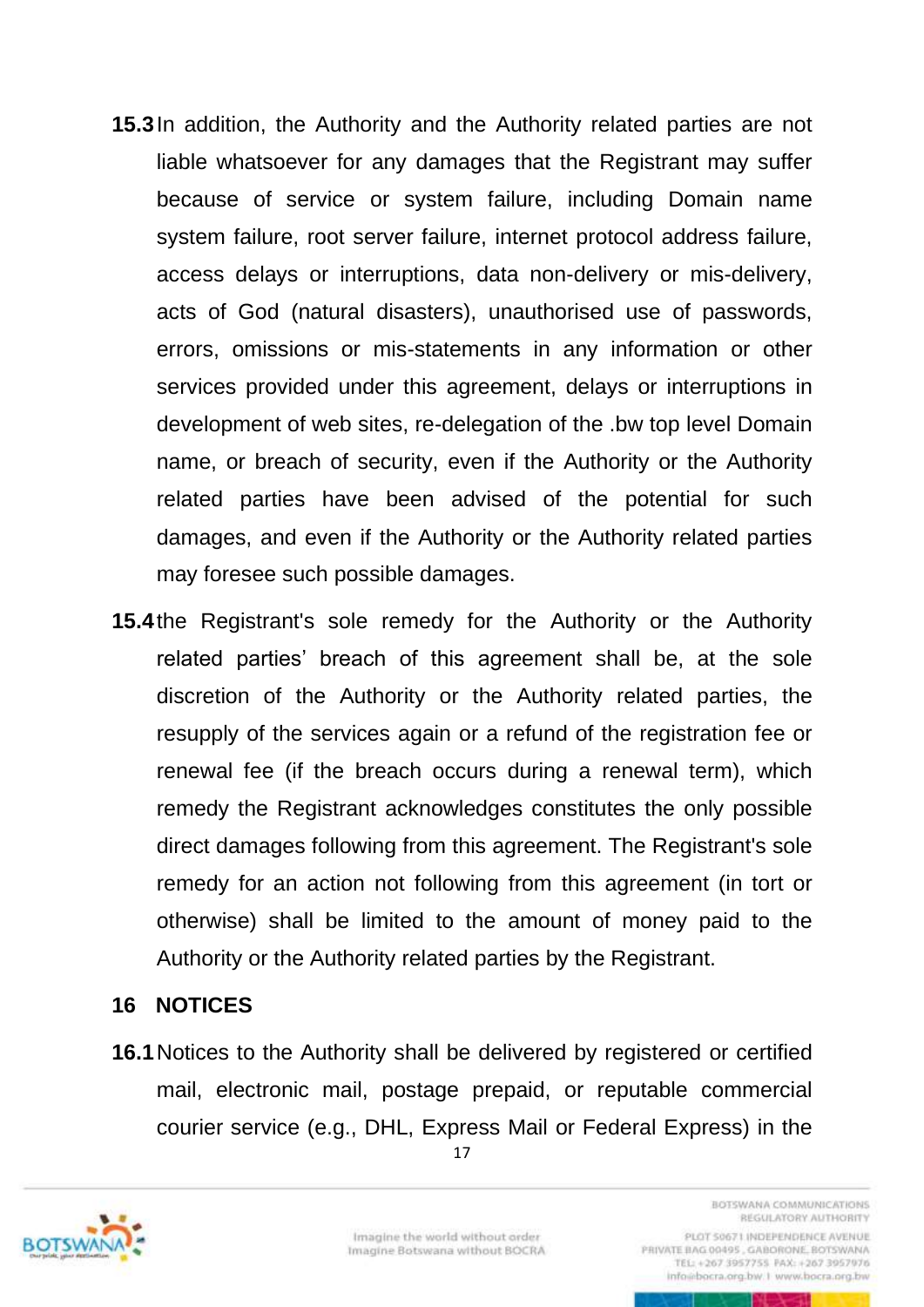- **15.3**In addition, the Authority and the Authority related parties are not liable whatsoever for any damages that the Registrant may suffer because of service or system failure, including Domain name system failure, root server failure, internet protocol address failure, access delays or interruptions, data non-delivery or mis-delivery, acts of God (natural disasters), unauthorised use of passwords, errors, omissions or mis-statements in any information or other services provided under this agreement, delays or interruptions in development of web sites, re-delegation of the .bw top level Domain name, or breach of security, even if the Authority or the Authority related parties have been advised of the potential for such damages, and even if the Authority or the Authority related parties may foresee such possible damages.
- **15.4**the Registrant's sole remedy for the Authority or the Authority related parties' breach of this agreement shall be, at the sole discretion of the Authority or the Authority related parties, the resupply of the services again or a refund of the registration fee or renewal fee (if the breach occurs during a renewal term), which remedy the Registrant acknowledges constitutes the only possible direct damages following from this agreement. The Registrant's sole remedy for an action not following from this agreement (in tort or otherwise) shall be limited to the amount of money paid to the Authority or the Authority related parties by the Registrant.

### <span id="page-22-0"></span>**16 NOTICES**

17 **16.1**Notices to the Authority shall be delivered by registered or certified mail, electronic mail, postage prepaid, or reputable commercial courier service (e.g., DHL, Express Mail or Federal Express) in the



REGULATORY AUTHORITY PLOT 50671 INDEPENDENCE AVENUE PRIVATE BAG 00495, GABORONE, BOTSWANA TEL: +267 3957755 FAX: +267 3957976

info@bocra.org.bw.1 www.bocra.org.bw

RETURNATION COMMUNICATIONS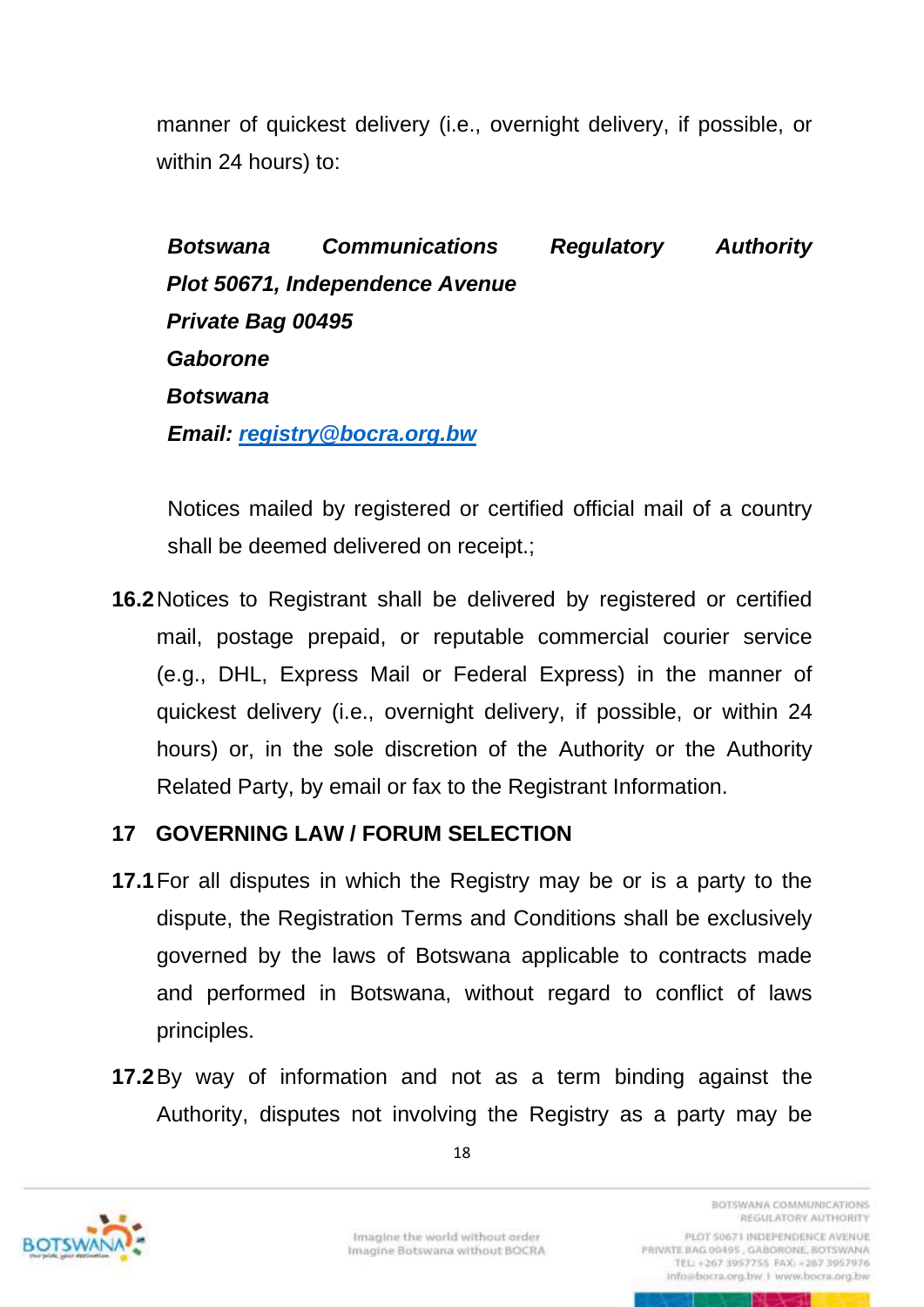manner of quickest delivery (i.e., overnight delivery, if possible, or within 24 hours) to:

*Botswana Communications Regulatory Authority Plot 50671, Independence Avenue Private Bag 00495 Gaborone Botswana Email: [registry@bocra.org.bw](mailto:registry@bocra.org.bw)*

Notices mailed by registered or certified official mail of a country shall be deemed delivered on receipt.;

**16.2**Notices to Registrant shall be delivered by registered or certified mail, postage prepaid, or reputable commercial courier service (e.g., DHL, Express Mail or Federal Express) in the manner of quickest delivery (i.e., overnight delivery, if possible, or within 24 hours) or, in the sole discretion of the Authority or the Authority Related Party, by email or fax to the Registrant Information.

### <span id="page-23-0"></span>**17 GOVERNING LAW / FORUM SELECTION**

- **17.1**For all disputes in which the Registry may be or is a party to the dispute, the Registration Terms and Conditions shall be exclusively governed by the laws of Botswana applicable to contracts made and performed in Botswana, without regard to conflict of laws principles.
- **17.2**By way of information and not as a term binding against the Authority, disputes not involving the Registry as a party may be





Imagine the world without order Imagine Botswana without BOCRA

REGULATORY AUTHORITY PLOT 50671 INDEPENDENCE AVENUE

**BOTSWANA COMMUNICATIONS** 

PRIVATE BAG 00495, GABORONE, BOTSWANA TEL: +267 3957755 PAX: +267 3957976 info@bocra.org.bw.1 www.bocra.org.bw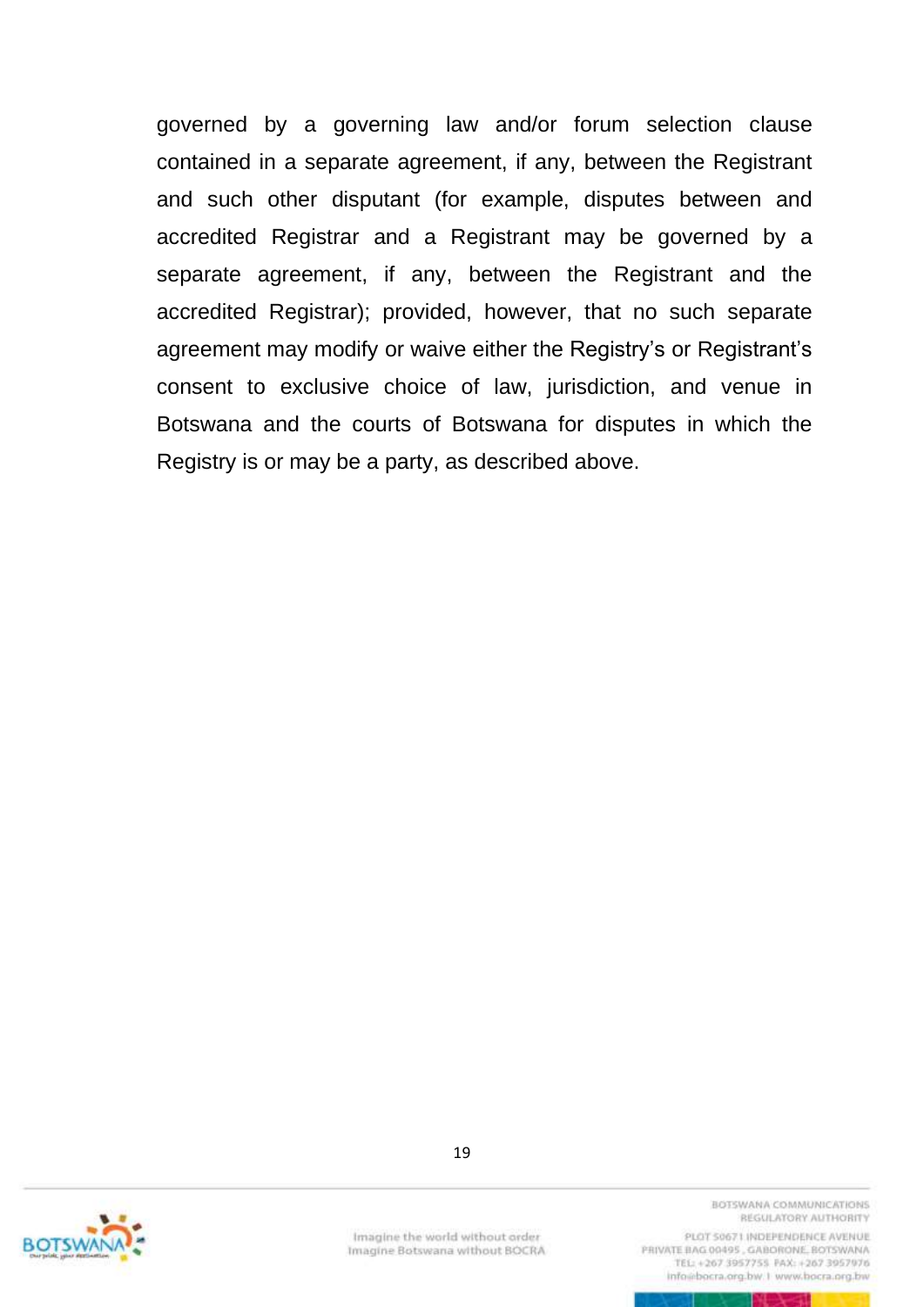governed by a governing law and/or forum selection clause contained in a separate agreement, if any, between the Registrant and such other disputant (for example, disputes between and accredited Registrar and a Registrant may be governed by a separate agreement, if any, between the Registrant and the accredited Registrar); provided, however, that no such separate agreement may modify or waive either the Registry's or Registrant's consent to exclusive choice of law, jurisdiction, and venue in Botswana and the courts of Botswana for disputes in which the Registry is or may be a party, as described above.



19

Imagine the world without order Imagine Botswana without BOCRA **BOTSWANA COMMUNICATIONS** REGULATORY AUTHORITY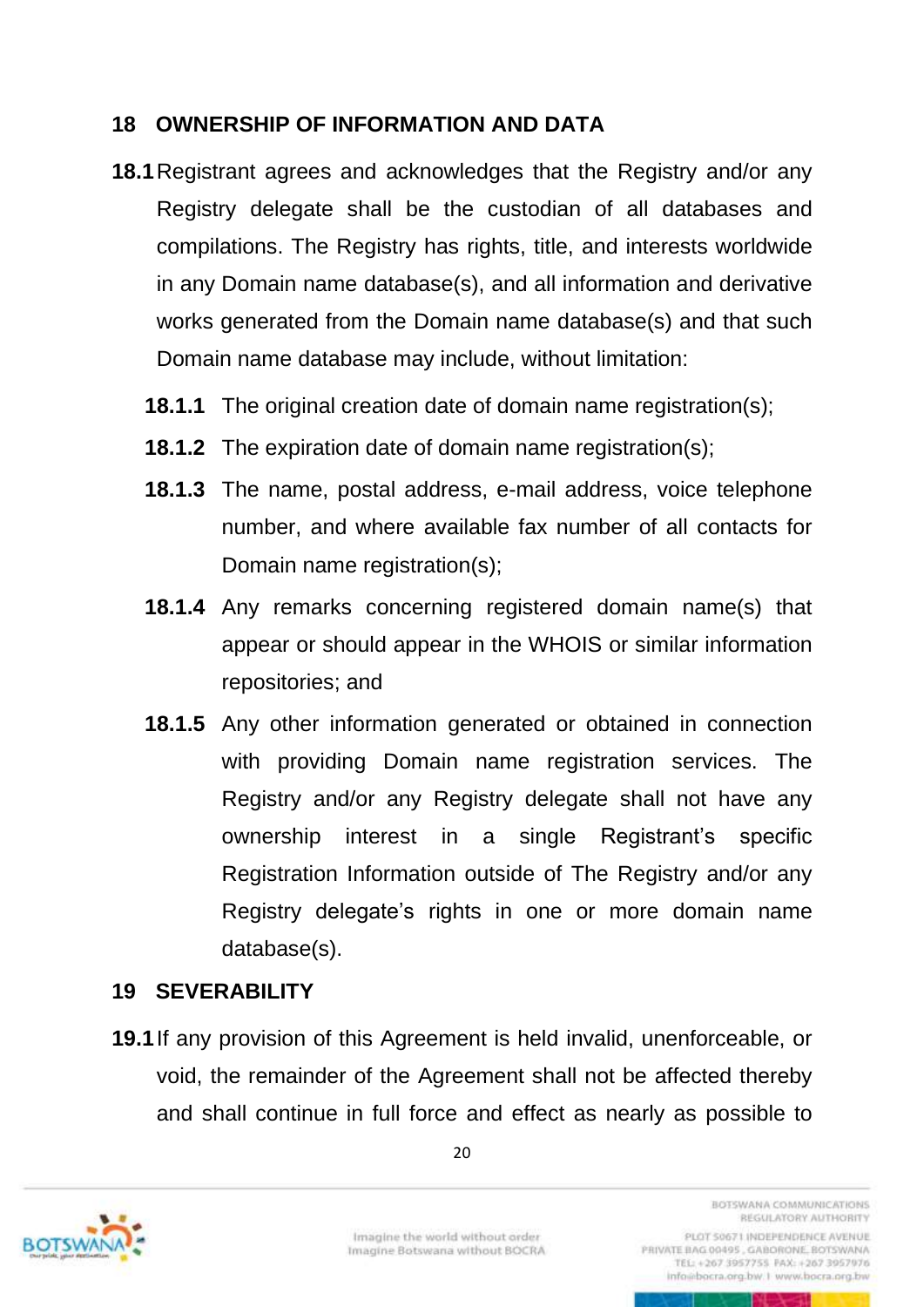### <span id="page-25-0"></span>**18 OWNERSHIP OF INFORMATION AND DATA**

- **18.1**Registrant agrees and acknowledges that the Registry and/or any Registry delegate shall be the custodian of all databases and compilations. The Registry has rights, title, and interests worldwide in any Domain name database(s), and all information and derivative works generated from the Domain name database(s) and that such Domain name database may include, without limitation:
	- **18.1.1** The original creation date of domain name registration(s);
	- **18.1.2** The expiration date of domain name registration(s);
	- **18.1.3** The name, postal address, e-mail address, voice telephone number, and where available fax number of all contacts for Domain name registration(s);
	- **18.1.4** Any remarks concerning registered domain name(s) that appear or should appear in the WHOIS or similar information repositories; and
	- **18.1.5** Any other information generated or obtained in connection with providing Domain name registration services. The Registry and/or any Registry delegate shall not have any ownership interest in a single Registrant's specific Registration Information outside of The Registry and/or any Registry delegate's rights in one or more domain name database(s).

# <span id="page-25-1"></span>**19 SEVERABILITY**

**19.1**If any provision of this Agreement is held invalid, unenforceable, or void, the remainder of the Agreement shall not be affected thereby and shall continue in full force and effect as nearly as possible to





REGULATORY AUTHORITY PLOT 50671 INDEPENDENCE AVENUE PRIVATE BAG 00495, GABORONE, BOTSWANA TEL: +267 3957755 PAX: +267 3957976 info@bocra.org.bw.1 www.bocra.org.bw

**BOTSWANA COMMUNICATIONS**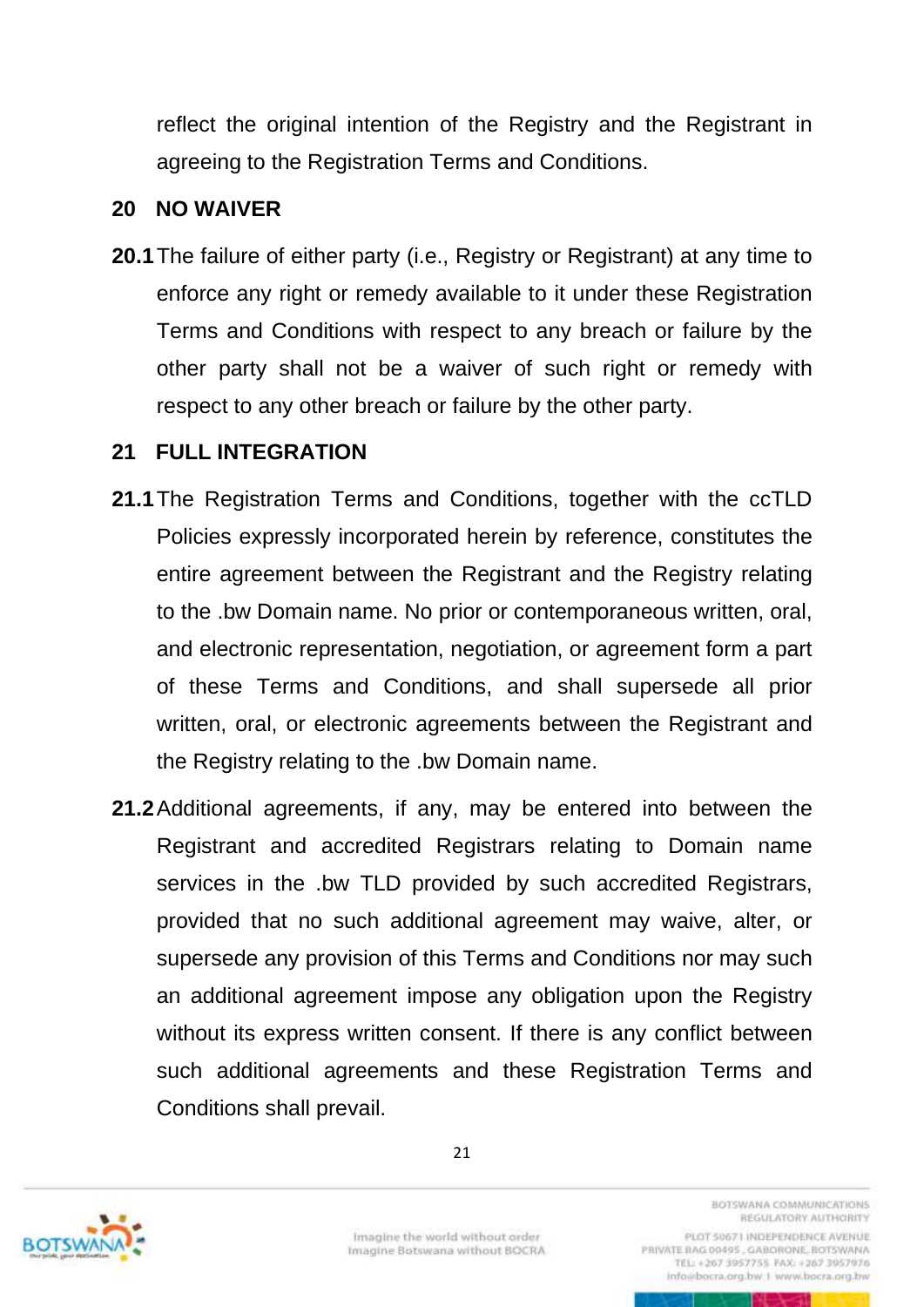reflect the original intention of the Registry and the Registrant in agreeing to the Registration Terms and Conditions.

#### <span id="page-26-0"></span>**20 NO WAIVER**

**20.1**The failure of either party (i.e., Registry or Registrant) at any time to enforce any right or remedy available to it under these Registration Terms and Conditions with respect to any breach or failure by the other party shall not be a waiver of such right or remedy with respect to any other breach or failure by the other party.

#### <span id="page-26-1"></span>**21 FULL INTEGRATION**

- **21.1**The Registration Terms and Conditions, together with the ccTLD Policies expressly incorporated herein by reference, constitutes the entire agreement between the Registrant and the Registry relating to the .bw Domain name. No prior or contemporaneous written, oral, and electronic representation, negotiation, or agreement form a part of these Terms and Conditions, and shall supersede all prior written, oral, or electronic agreements between the Registrant and the Registry relating to the .bw Domain name.
- **21.2**Additional agreements, if any, may be entered into between the Registrant and accredited Registrars relating to Domain name services in the .bw TLD provided by such accredited Registrars, provided that no such additional agreement may waive, alter, or supersede any provision of this Terms and Conditions nor may such an additional agreement impose any obligation upon the Registry without its express written consent. If there is any conflict between such additional agreements and these Registration Terms and Conditions shall prevail.



Imagine the world without order Imagine Botswana without BOCRA **BOTSWANA COMMUNICATIONS** REGULATORY AUTHORITY